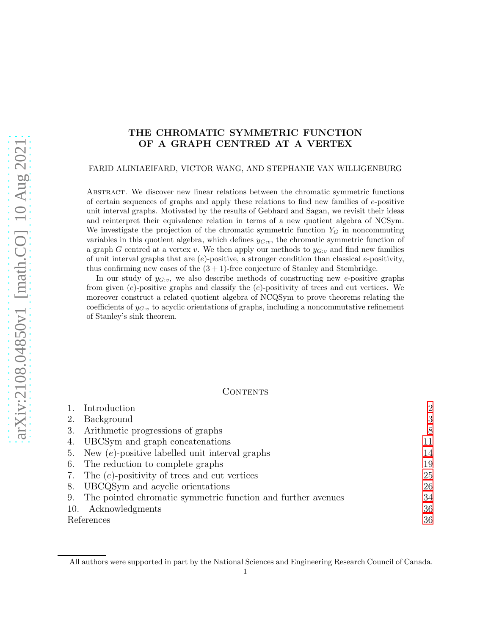# THE CHROMATIC SYMMETRIC FUNCTION OF A GRAPH CENTRED AT A VERTEX

#### FARID ALINIAEIFARD, VICTOR WANG, AND STEPHANIE VAN WILLIGENBURG

Abstract. We discover new linear relations between the chromatic symmetric functions of certain sequences of graphs and apply these relations to find new families of e-positive unit interval graphs. Motivated by the results of Gebhard and Sagan, we revisit their ideas and reinterpret their equivalence relation in terms of a new quotient algebra of NCSym. We investigate the projection of the chromatic symmetric function  $Y_G$  in noncommuting variables in this quotient algebra, which defines  $y_{G:v}$ , the chromatic symmetric function of a graph G centred at a vertex v. We then apply our methods to  $y_{G:v}$  and find new families of unit interval graphs that are  $(e)$ -positive, a stronger condition than classical  $e$ -positivity, thus confirming new cases of the  $(3 + 1)$ -free conjecture of Stanley and Stembridge.

In our study of  $y_{G:v}$ , we also describe methods of constructing new e-positive graphs from given  $(e)$ -positive graphs and classify the  $(e)$ -positivity of trees and cut vertices. We moreover construct a related quotient algebra of NCQSym to prove theorems relating the coefficients of  $y_{G:v}$  to acyclic orientations of graphs, including a noncommutative refinement of Stanley's sink theorem.

## CONTENTS

|            | Introduction                                                 | $\overline{2}$ |
|------------|--------------------------------------------------------------|----------------|
| 2.         | Background                                                   | 3              |
|            | 3. Arithmetic progressions of graphs                         | 8              |
| 4.         | UBCSym and graph concatenations                              | 11             |
|            | 5. New $(e)$ -positive labelled unit interval graphs         | 14             |
|            | 6. The reduction to complete graphs                          | 19             |
|            | 7. The $(e)$ -positivity of trees and cut vertices           | 25             |
|            | 8. UBCQSym and acyclic orientations                          | 26             |
| 9.         | The pointed chromatic symmetric function and further avenues | 34             |
| 10.        | Acknowledgments                                              | 36             |
| References |                                                              |                |

All authors were supported in part by the National Sciences and Engineering Research Council of Canada.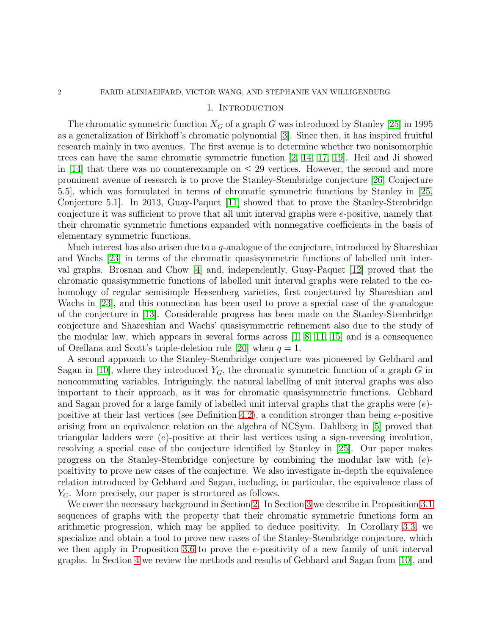#### 1. INTRODUCTION

<span id="page-1-0"></span>The chromatic symmetric function  $X_G$  of a graph G was introduced by Stanley [\[25\]](#page-36-0) in 1995 as a generalization of Birkhoff's chromatic polynomial [\[3\]](#page-35-2). Since then, it has inspired fruitful research mainly in two avenues. The first avenue is to determine whether two nonisomorphic trees can have the same chromatic symmetric function [\[2,](#page-35-3) [14,](#page-35-4) [17,](#page-35-5) [19\]](#page-35-6). Heil and Ji showed in [\[14\]](#page-35-4) that there was no counterexample on  $\leq$  29 vertices. However, the second and more prominent avenue of research is to prove the Stanley-Stembridge conjecture [\[26,](#page-36-1) Conjecture 5.5], which was formulated in terms of chromatic symmetric functions by Stanley in [\[25,](#page-36-0) Conjecture 5.1]. In 2013, Guay-Paquet [\[11\]](#page-35-7) showed that to prove the Stanley-Stembridge conjecture it was sufficient to prove that all unit interval graphs were e-positive, namely that their chromatic symmetric functions expanded with nonnegative coefficients in the basis of elementary symmetric functions.

Much interest has also arisen due to a  $q$ -analogue of the conjecture, introduced by Shareshian and Wachs [\[23\]](#page-36-2) in terms of the chromatic quasisymmetric functions of labelled unit interval graphs. Brosnan and Chow [\[4\]](#page-35-8) and, independently, Guay-Paquet [\[12\]](#page-35-9) proved that the chromatic quasisymmetric functions of labelled unit interval graphs were related to the cohomology of regular semisimple Hessenberg varieties, first conjectured by Shareshian and Wachs in [\[23\]](#page-36-2), and this connection has been used to prove a special case of the  $q$ -analogue of the conjecture in [\[13\]](#page-35-10). Considerable progress has been made on the Stanley-Stembridge conjecture and Shareshian and Wachs' quasisymmetric refinement also due to the study of the modular law, which appears in several forms across  $\vert 1, 8, 11, 15 \vert$  $\vert 1, 8, 11, 15 \vert$  $\vert 1, 8, 11, 15 \vert$  $\vert 1, 8, 11, 15 \vert$  and is a consequence of Orellana and Scott's triple-deletion rule [\[20\]](#page-35-14) when  $q = 1$ .

A second approach to the Stanley-Stembridge conjecture was pioneered by Gebhard and Sagan in [\[10\]](#page-35-15), where they introduced  $Y_G$ , the chromatic symmetric function of a graph G in noncommuting variables. Intriguingly, the natural labelling of unit interval graphs was also important to their approach, as it was for chromatic quasisymmetric functions. Gebhard and Sagan proved for a large family of labelled unit interval graphs that the graphs were  $(e)$ -positive at their last vertices (see Definition [4.2\)](#page-12-0), a condition stronger than being  $e$ -positive arising from an equivalence relation on the algebra of NCSym. Dahlberg in [\[5\]](#page-35-16) proved that triangular ladders were  $(e)$ -positive at their last vertices using a sign-reversing involution, resolving a special case of the conjecture identified by Stanley in [\[25\]](#page-36-0). Our paper makes progress on the Stanley-Stembridge conjecture by combining the modular law with  $(e)$ positivity to prove new cases of the conjecture. We also investigate in-depth the equivalence relation introduced by Gebhard and Sagan, including, in particular, the equivalence class of  $Y_G$ . More precisely, our paper is structured as follows.

We cover the necessary background in Section [2.](#page-2-0) In Section [3](#page-7-0) we describe in Proposition [3.1](#page-7-1) sequences of graphs with the property that their chromatic symmetric functions form an arithmetic progression, which may be applied to deduce positivity. In Corollary [3.3,](#page-8-0) we specialize and obtain a tool to prove new cases of the Stanley-Stembridge conjecture, which we then apply in Proposition [3.6](#page-9-0) to prove the  $e$ -positivity of a new family of unit interval graphs. In Section [4](#page-10-0) we review the methods and results of Gebhard and Sagan from [\[10\]](#page-35-15), and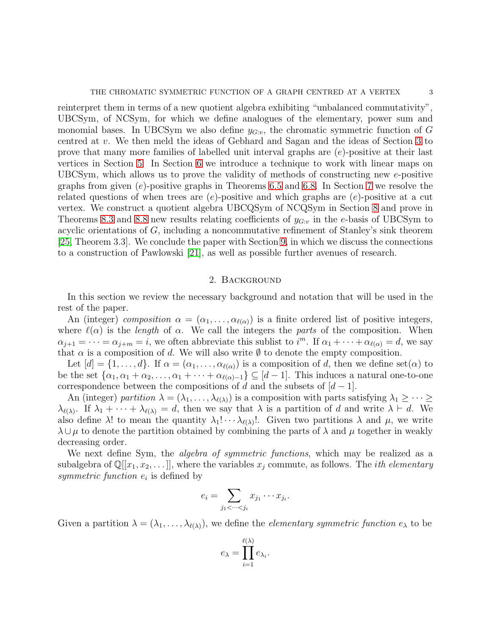reinterpret them in terms of a new quotient algebra exhibiting "unbalanced commutativity", UBCSym, of NCSym, for which we define analogues of the elementary, power sum and monomial bases. In UBCSym we also define  $y_{G:v}$ , the chromatic symmetric function of G centred at v. We then meld the ideas of Gebhard and Sagan and the ideas of Section [3](#page-7-0) to prove that many more families of labelled unit interval graphs are (e)-positive at their last vertices in Section [5.](#page-13-0) In Section [6](#page-18-0) we introduce a technique to work with linear maps on UBCSym, which allows us to prove the validity of methods of constructing new e-positive graphs from given (e)-positive graphs in Theorems [6.5](#page-21-0) and [6.8.](#page-23-0) In Section [7](#page-24-0) we resolve the related questions of when trees are  $(e)$ -positive and which graphs are  $(e)$ -positive at a cut vertex. We construct a quotient algebra UBCQSym of NCQSym in Section [8](#page-25-0) and prove in Theorems [8.3](#page-28-0) and [8.8](#page-32-0) new results relating coefficients of  $y_{G:v}$  in the e-basis of UBCSym to acyclic orientations of G, including a noncommutative refinement of Stanley's sink theorem [\[25,](#page-36-0) Theorem 3.3]. We conclude the paper with Section [9,](#page-33-0) in which we discuss the connections to a construction of Pawlowski [\[21\]](#page-36-3), as well as possible further avenues of research.

#### 2. Background

<span id="page-2-0"></span>In this section we review the necessary background and notation that will be used in the rest of the paper.

An (integer) composition  $\alpha = (\alpha_1, \ldots, \alpha_{\ell(\alpha)})$  is a finite ordered list of positive integers, where  $\ell(\alpha)$  is the *length* of  $\alpha$ . We call the integers the *parts* of the composition. When  $\alpha_{j+1} = \cdots = \alpha_{j+m} = i$ , we often abbreviate this sublist to  $i^m$ . If  $\alpha_1 + \cdots + \alpha_{\ell(\alpha)} = d$ , we say that  $\alpha$  is a composition of d. We will also write  $\emptyset$  to denote the empty composition.

Let  $[d] = \{1, \ldots, d\}$ . If  $\alpha = (\alpha_1, \ldots, \alpha_{\ell(\alpha)})$  is a composition of d, then we define set $(\alpha)$  to be the set  $\{\alpha_1, \alpha_1 + \alpha_2, \ldots, \alpha_1 + \cdots + \alpha_{\ell(\alpha)-1}\} \subseteq [d-1]$ . This induces a natural one-to-one correspondence between the compositions of d and the subsets of  $[d-1]$ .

An (integer) partition  $\lambda = (\lambda_1, \ldots, \lambda_{\ell(\lambda)})$  is a composition with parts satisfying  $\lambda_1 \geq \cdots \geq$  $\lambda_{\ell(\lambda)}$ . If  $\lambda_1 + \cdots + \lambda_{\ell(\lambda)} = d$ , then we say that  $\lambda$  is a partition of d and write  $\lambda \vdash d$ . We also define  $\lambda$ ! to mean the quantity  $\lambda_1! \cdots \lambda_{\ell(\lambda)}!$ . Given two partitions  $\lambda$  and  $\mu$ , we write  $\lambda \cup \mu$  to denote the partition obtained by combining the parts of  $\lambda$  and  $\mu$  together in weakly decreasing order.

We next define Sym, the *algebra of symmetric functions*, which may be realized as a subalgebra of  $\mathbb{Q}[[x_1, x_2, \dots]],$  where the variables  $x_j$  commute, as follows. The *i*th elementary symmetric function  $e_i$  is defined by

$$
e_i = \sum_{j_1 < \cdots < j_i} x_{j_1} \cdots x_{j_i}.
$$

Given a partition  $\lambda = (\lambda_1, \ldots, \lambda_{\ell(\lambda)})$ , we define the *elementary symmetric function*  $e_{\lambda}$  to be

$$
e_{\lambda} = \prod_{i=1}^{\ell(\lambda)} e_{\lambda_i}.
$$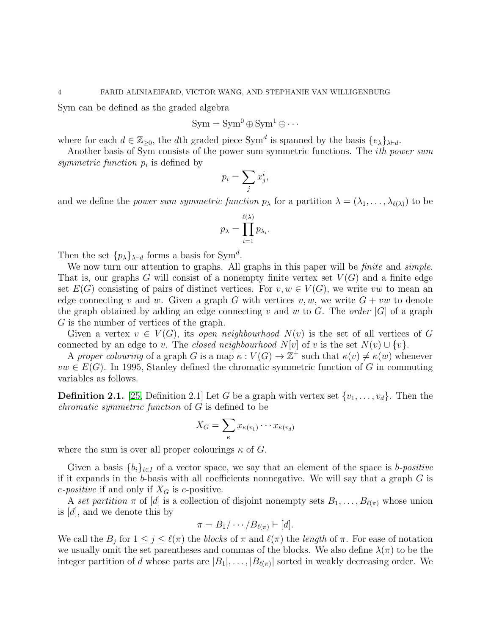Sym can be defined as the graded algebra

$$
Sym = Sym^{0} \oplus Sym^{1} \oplus \cdots
$$

where for each  $d \in \mathbb{Z}_{\geq 0}$ , the dth graded piece Sym<sup>d</sup> is spanned by the basis  $\{e_{\lambda}\}_{{\lambda}\vdash d}$ .

Another basis of Sym consists of the power sum symmetric functions. The ith power sum symmetric function  $p_i$  is defined by

$$
p_i = \sum_j x_j^i,
$$

and we define the *power sum symmetric function*  $p_{\lambda}$  for a partition  $\lambda = (\lambda_1, \ldots, \lambda_{\ell(\lambda)})$  to be

$$
p_{\lambda} = \prod_{i=1}^{\ell(\lambda)} p_{\lambda_i}.
$$

Then the set  $\{p_{\lambda}\}_{{\lambda}\vdash d}$  forms a basis for Sym<sup>d</sup>.

We now turn our attention to graphs. All graphs in this paper will be *finite* and *simple*. That is, our graphs G will consist of a nonempty finite vertex set  $V(G)$  and a finite edge set  $E(G)$  consisting of pairs of distinct vertices. For  $v, w \in V(G)$ , we write vw to mean an edge connecting v and w. Given a graph G with vertices v, w, we write  $G + vw$  to denote the graph obtained by adding an edge connecting v and w to G. The *order*  $|G|$  of a graph G is the number of vertices of the graph.

Given a vertex  $v \in V(G)$ , its open neighbourhood  $N(v)$  is the set of all vertices of G connected by an edge to v. The closed neighbourhood  $N[v]$  of v is the set  $N(v) \cup \{v\}$ .

A proper colouring of a graph G is a map  $\kappa : V(G) \to \mathbb{Z}^+$  such that  $\kappa(v) \neq \kappa(w)$  whenever  $vw \in E(G)$ . In 1995, Stanley defined the chromatic symmetric function of G in commuting variables as follows.

**Definition 2.1.** [\[25,](#page-36-0) Definition 2.1] Let G be a graph with vertex set  $\{v_1, \ldots, v_d\}$ . Then the chromatic symmetric function of G is defined to be

$$
X_G = \sum_{\kappa} x_{\kappa(v_1)} \cdots x_{\kappa(v_d)}
$$

where the sum is over all proper colourings  $\kappa$  of G.

Given a basis  $\{b_i\}_{i\in I}$  of a vector space, we say that an element of the space is *b-positive* if it expands in the b-basis with all coefficients nonnegative. We will say that a graph  $G$  is e-positive if and only if  $X_G$  is e-positive.

A set partition  $\pi$  of [d] is a collection of disjoint nonempty sets  $B_1, \ldots, B_{\ell(\pi)}$  whose union is [d], and we denote this by

$$
\pi = B_1 / \cdots / B_{\ell(\pi)} \vdash [d].
$$

We call the  $B_j$  for  $1 \leq j \leq \ell(\pi)$  the blocks of  $\pi$  and  $\ell(\pi)$  the length of  $\pi$ . For ease of notation we usually omit the set parentheses and commas of the blocks. We also define  $\lambda(\pi)$  to be the integer partition of d whose parts are  $|B_1|, \ldots, |B_{\ell(\pi)}|$  sorted in weakly decreasing order. We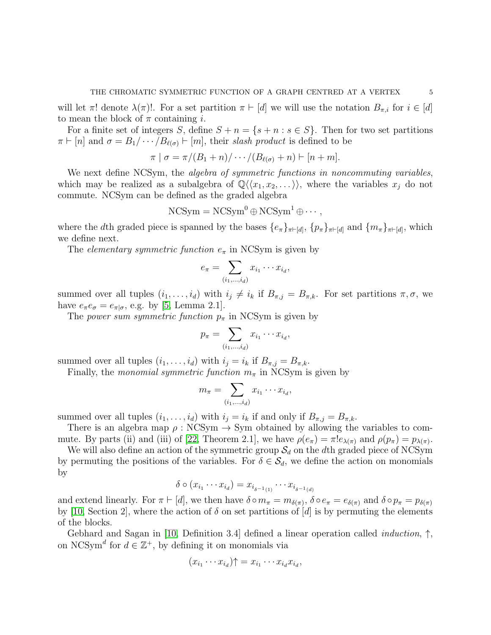will let  $\pi!$  denote  $\lambda(\pi)!$ . For a set partition  $\pi \vdash [d]$  we will use the notation  $B_{\pi,i}$  for  $i \in [d]$ to mean the block of  $\pi$  containing *i*.

For a finite set of integers S, define  $S + n = \{s + n : s \in S\}$ . Then for two set partitions  $\pi \vdash [n]$  and  $\sigma = B_1/\cdots/B_{\ell(\sigma)} \vdash [m]$ , their slash product is defined to be

$$
\pi \mid \sigma = \pi/(B_1 + n)/\cdots/(B_{\ell(\sigma)} + n) \vdash [n+m].
$$

We next define NCSym, the *algebra of symmetric functions in noncommuting variables*, which may be realized as a subalgebra of  $\mathbb{Q}\langle\langle x_1, x_2, \ldots \rangle\rangle$ , where the variables  $x_j$  do not commute. NCSym can be defined as the graded algebra

$$
NCSym = NCSym^0 \oplus NCSym^1 \oplus \cdots,
$$

where the dth graded piece is spanned by the bases  $\{e_\pi\}_{\pi\vdash [d]}$ ,  $\{p_\pi\}_{\pi\vdash [d]}$  and  $\{m_\pi\}_{\pi\vdash [d]}$ , which we define next.

The *elementary symmetric function*  $e_{\pi}$  in NCSym is given by

$$
e_{\pi} = \sum_{(i_1,\ldots,i_d)} x_{i_1} \cdots x_{i_d},
$$

summed over all tuples  $(i_1, \ldots, i_d)$  with  $i_j \neq i_k$  if  $B_{\pi,j} = B_{\pi,k}$ . For set partitions  $\pi, \sigma$ , we have  $e_{\pi}e_{\sigma} = e_{\pi|\sigma}$ , e.g. by [\[5,](#page-35-16) Lemma 2.1].

The power sum symmetric function  $p_{\pi}$  in NCSym is given by

$$
p_{\pi} = \sum_{(i_1,\ldots,i_d)} x_{i_1} \cdots x_{i_d},
$$

summed over all tuples  $(i_1, \ldots, i_d)$  with  $i_j = i_k$  if  $B_{\pi, j} = B_{\pi, k}$ .

Finally, the *monomial symmetric function*  $m_{\pi}$  in NCSym is given by

$$
m_{\pi} = \sum_{(i_1,\ldots,i_d)} x_{i_1} \cdots x_{i_d},
$$

summed over all tuples  $(i_1, \ldots, i_d)$  with  $i_j = i_k$  if and only if  $B_{\pi,j} = B_{\pi,k}$ .

There is an algebra map  $\rho : NCSym \rightarrow Sym$  obtained by allowing the variables to com-mute. By parts (ii) and (iii) of [\[22,](#page-36-4) Theorem 2.1], we have  $\rho(e_{\pi}) = \pi! e_{\lambda(\pi)}$  and  $\rho(p_{\pi}) = p_{\lambda(\pi)}$ .

We will also define an action of the symmetric group  $S_d$  on the dth graded piece of NCSym by permuting the positions of the variables. For  $\delta \in \mathcal{S}_d$ , we define the action on monomials by

$$
\delta \circ (x_{i_1} \cdots x_{i_d}) = x_{i_{\delta^{-1}(1)}} \cdots x_{i_{\delta^{-1}(d)}}
$$

and extend linearly. For  $\pi \vdash [d]$ , we then have  $\delta \circ m_{\pi} = m_{\delta(\pi)}$ ,  $\delta \circ e_{\pi} = e_{\delta(\pi)}$  and  $\delta \circ p_{\pi} = p_{\delta(\pi)}$ by [\[10,](#page-35-15) Section 2], where the action of  $\delta$  on set partitions of [d] is by permuting the elements of the blocks.

Gebhard and Sagan in [\[10,](#page-35-15) Definition 3.4] defined a linear operation called *induction*,  $\uparrow$ , on NCSym<sup>d</sup> for  $d \in \mathbb{Z}^+$ , by defining it on monomials via

$$
(x_{i_1}\cdots x_{i_d})\uparrow = x_{i_1}\cdots x_{i_d}x_{i_d},
$$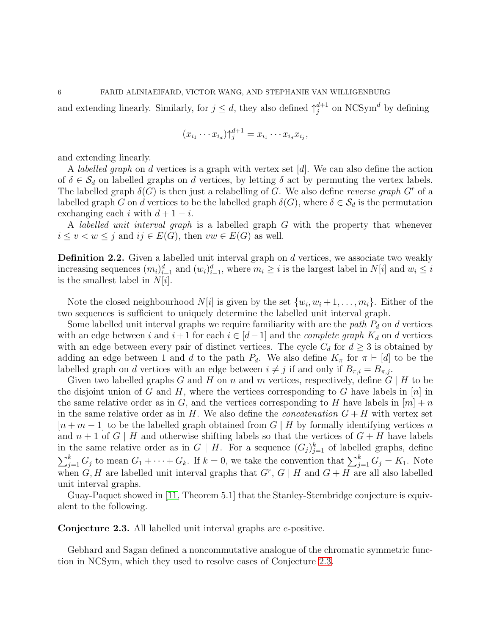and extending linearly. Similarly, for  $j \leq d$ , they also defined  $\uparrow_i^{d+1}$  $j^{d+1}$  on NCSym<sup>d</sup> by defining

$$
(x_{i_1}\cdots x_{i_d})\uparrow_j^{d+1} = x_{i_1}\cdots x_{i_d}x_{i_j},
$$

and extending linearly.

A *labelled graph* on d vertices is a graph with vertex set  $[d]$ . We can also define the action of  $\delta \in \mathcal{S}_d$  on labelled graphs on d vertices, by letting  $\delta$  act by permuting the vertex labels. The labelled graph  $\delta(G)$  is then just a relabelling of G. We also define *reverse graph*  $G<sup>r</sup>$  of a labelled graph G on d vertices to be the labelled graph  $\delta(G)$ , where  $\delta \in \mathcal{S}_d$  is the permutation exchanging each i with  $d+1-i$ .

A labelled unit interval graph is a labelled graph G with the property that whenever  $i \leq v < w \leq j$  and  $ij \in E(G)$ , then  $vw \in E(G)$  as well.

**Definition 2.2.** Given a labelled unit interval graph on d vertices, we associate two weakly increasing sequences  $(m_i)_{i=1}^d$  and  $(w_i)_{i=1}^d$ , where  $m_i \geq i$  is the largest label in  $N[i]$  and  $w_i \leq i$ is the smallest label in  $N[i]$ .

Note the closed neighbourhood  $N[i]$  is given by the set  $\{w_i, w_i + 1, \ldots, m_i\}$ . Either of the two sequences is sufficient to uniquely determine the labelled unit interval graph.

Some labelled unit interval graphs we require familiarity with are the *path*  $P_d$  on d vertices with an edge between i and  $i+1$  for each  $i \in [d-1]$  and the *complete graph*  $K_d$  on d vertices with an edge between every pair of distinct vertices. The cycle  $C_d$  for  $d \geq 3$  is obtained by adding an edge between 1 and d to the path  $P_d$ . We also define  $K_{\pi}$  for  $\pi \vdash [d]$  to be the labelled graph on d vertices with an edge between  $i \neq j$  if and only if  $B_{\pi,i} = B_{\pi,j}$ .

Given two labelled graphs G and H on n and m vertices, respectively, define  $G \mid H$  to be the disjoint union of G and H, where the vertices corresponding to G have labels in  $[n]$  in the same relative order as in G, and the vertices corresponding to H have labels in  $|m| + n$ in the same relative order as in  $H$ . We also define the *concatenation*  $G + H$  with vertex set  $[n+m-1]$  to be the labelled graph obtained from  $G \mid H$  by formally identifying vertices n and  $n+1$  of G | H and otherwise shifting labels so that the vertices of  $G + H$  have labels in the same relative order as in  $G \mid H$ . For a sequence  $(G_j)_{j=1}^k$  of labelled graphs, define  $\sum_{j=1}^{k} G_j$  to mean  $G_1 + \cdots + G_k$ . If  $k = 0$ , we take the convention that  $\sum_{j=1}^{k} G_j = K_1$ . Note when  $G, H$  are labelled unit interval graphs that  $G<sup>r</sup>, G | H$  and  $G + H$  are all also labelled unit interval graphs.

Guay-Paquet showed in [\[11,](#page-35-7) Theorem 5.1] that the Stanley-Stembridge conjecture is equivalent to the following.

<span id="page-5-0"></span>Conjecture 2.3. All labelled unit interval graphs are e-positive.

Gebhard and Sagan defined a noncommutative analogue of the chromatic symmetric function in NCSym, which they used to resolve cases of Conjecture [2.3.](#page-5-0)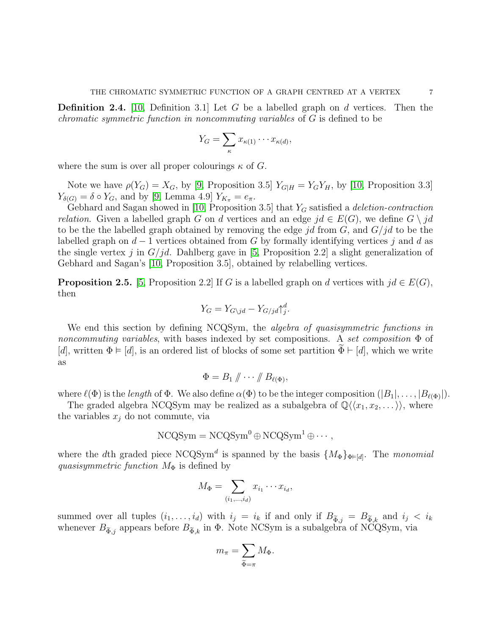**Definition 2.4.** [\[10,](#page-35-15) Definition 3.1] Let G be a labelled graph on d vertices. Then the chromatic symmetric function in noncommuting variables of G is defined to be

$$
Y_G = \sum_{\kappa} x_{\kappa(1)} \cdots x_{\kappa(d)},
$$

where the sum is over all proper colourings  $\kappa$  of G.

Note we have  $\rho(Y_G) = X_G$ , by [\[9,](#page-35-17) Proposition 3.5]  $Y_{G|H} = Y_G Y_H$ , by [\[10,](#page-35-15) Proposition 3.3]  $Y_{\delta(G)} = \delta \circ Y_G$ , and by [\[9,](#page-35-17) Lemma 4.9]  $Y_{K_{\pi}} = e_{\pi}$ .

Gebhard and Sagan showed in [\[10,](#page-35-15) Proposition 3.5] that  $Y_G$  satisfied a *deletion-contraction relation*. Given a labelled graph G on d vertices and an edge  $jd \in E(G)$ , we define  $G \setminus jd$ to be the labelled graph obtained by removing the edge  $id$  from G, and  $G/id$  to be the labelled graph on  $d-1$  vertices obtained from G by formally identifying vertices j and d as the single vertex j in  $G/jd$ . Dahlberg gave in [\[5,](#page-35-16) Proposition 2.2] a slight generalization of Gebhard and Sagan's [\[10,](#page-35-15) Proposition 3.5], obtained by relabelling vertices.

<span id="page-6-0"></span>**Proposition 2.5.** [\[5,](#page-35-16) Proposition 2.2] If G is a labelled graph on d vertices with  $jd \in E(G)$ , then

$$
Y_G = Y_{G \setminus jd} - Y_{G/jd} \uparrow^d_j.
$$

We end this section by defining NCQSym, the *algebra of quasisymmetric functions in* noncommuting variables, with bases indexed by set compositions. A set composition  $\Phi$  of [d], written  $\Phi \models [d]$ , is an ordered list of blocks of some set partition  $\Phi \vdash [d]$ , which we write as

$$
\Phi=B_1\not\parallel\cdots\not\parallel B_{\ell(\Phi)},
$$

where  $\ell(\Phi)$  is the length of  $\Phi$ . We also define  $\alpha(\Phi)$  to be the integer composition  $(|B_1|,\ldots,|B_{\ell(\Phi)}|)$ .

The graded algebra NCQSym may be realized as a subalgebra of  $\mathbb{Q}\langle\langle x_1, x_2, \ldots \rangle\rangle$ , where the variables  $x_j$  do not commute, via

$$
NCQSym = NCQSym^0 \oplus NCQSym^1 \oplus \cdots,
$$

where the dth graded piece  $NCQSym^d$  is spanned by the basis  $\{M_{\Phi}\}_{\Phi \in [d]}$ . The monomial quasisymmetric function  $M_{\Phi}$  is defined by

$$
M_{\Phi} = \sum_{(i_1,\ldots,i_d)} x_{i_1} \cdots x_{i_d},
$$

summed over all tuples  $(i_1, \ldots, i_d)$  with  $i_j = i_k$  if and only if  $B_{\tilde{\Phi},j} = B_{\tilde{\Phi},k}$  and  $i_j < i_k$ whenever  $B_{\tilde{\Phi},j}$  appears before  $B_{\tilde{\Phi},k}$  in  $\Phi$ . Note NCSym is a subalgebra of NCQSym, via

$$
m_\pi = \sum_{\tilde{\Phi} = \pi} M_\Phi.
$$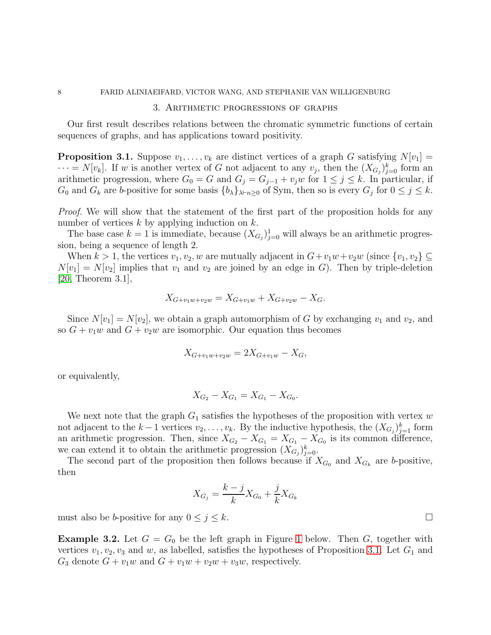#### 3. Arithmetic progressions of graphs

<span id="page-7-0"></span>Our first result describes relations between the chromatic symmetric functions of certain sequences of graphs, and has applications toward positivity.

<span id="page-7-1"></span>**Proposition 3.1.** Suppose  $v_1, \ldots, v_k$  are distinct vertices of a graph G satisfying  $N[v_1] =$  $\cdots = N[v_k]$ . If w is another vertex of G not adjacent to any  $v_j$ , then the  $(X_{G_j})_{j=0}^k$  form an arithmetic progression, where  $G_0 = G$  and  $G_j = G_{j-1} + v_jw$  for  $1 \leq j \leq k$ . In particular, if  $G_0$  and  $G_k$  are b-positive for some basis  $\{b_\lambda\}_{\lambda\vdash n\geq 0}$  of Sym, then so is every  $G_j$  for  $0\leq j\leq k$ .

Proof. We will show that the statement of the first part of the proposition holds for any number of vertices  $k$  by applying induction on  $k$ .

The base case  $k = 1$  is immediate, because  $(X_{G_j})_{j=0}^1$  will always be an arithmetic progression, being a sequence of length 2.

When  $k > 1$ , the vertices  $v_1, v_2, w$  are mutually adjacent in  $G + v_1w + v_2w$  (since  $\{v_1, v_2\} \subseteq$  $N[v_1] = N[v_2]$  implies that  $v_1$  and  $v_2$  are joined by an edge in G). Then by triple-deletion [\[20,](#page-35-14) Theorem 3.1],

$$
X_{G+v_1w+v_2w} = X_{G+v_1w} + X_{G+v_2w} - X_G.
$$

Since  $N[v_1] = N[v_2]$ , we obtain a graph automorphism of G by exchanging  $v_1$  and  $v_2$ , and so  $G + v_1w$  and  $G + v_2w$  are isomorphic. Our equation thus becomes

$$
X_{G+v_1w+v_2w} = 2X_{G+v_1w} - X_G,
$$

or equivalently,

$$
X_{G_2} - X_{G_1} = X_{G_1} - X_{G_0}.
$$

We next note that the graph  $G_1$  satisfies the hypotheses of the proposition with vertex  $w$ not adjacent to the  $k-1$  vertices  $v_2, \ldots, v_k$ . By the inductive hypothesis, the  $(X_{G_j})_{j=1}^k$  form an arithmetic progression. Then, since  $X_{G_2} - X_{G_1} = X_{G_1} - X_{G_0}$  is its common difference, we can extend it to obtain the arithmetic progression  $(X_{G_j})_{j=0}^k$ .

The second part of the proposition then follows because if  $X_{G_0}$  and  $X_{G_k}$  are b-positive, then

$$
X_{G_j} = \frac{k-j}{k} X_{G_0} + \frac{j}{k} X_{G_k}
$$

must also be *b*-positive for any  $0 \le j \le k$ .

**Example 3.2.** Let  $G = G_0$  be the left graph in Figure [1](#page-8-1) below. Then G, together with vertices  $v_1, v_2, v_3$  and w, as labelled, satisfies the hypotheses of Proposition [3.1.](#page-7-1) Let  $G_1$  and  $G_3$  denote  $G + v_1w$  and  $G + v_1w + v_2w + v_3w$ , respectively.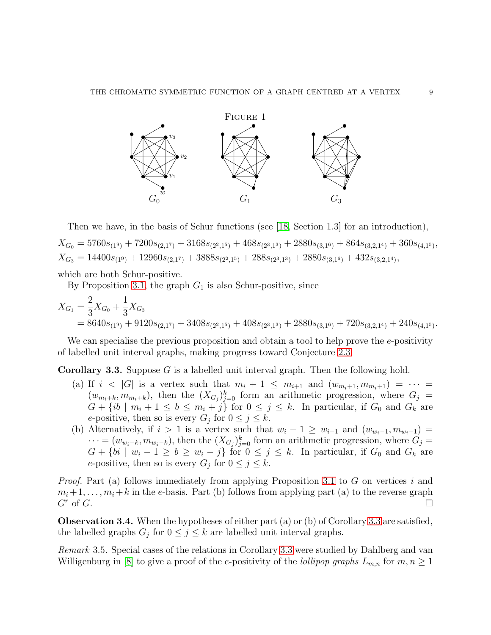<span id="page-8-1"></span>

Then we have, in the basis of Schur functions (see [\[18,](#page-35-18) Section 1.3] for an introduction),  $X_{G_0} = 5760s_{(1^9)} + 7200s_{(2,1^7)} + 3168s_{(2^2,1^5)} + 468s_{(2^3,1^3)} + 2880s_{(3,1^6)} + 864s_{(3,2,1^4)} + 360s_{(4,1^5)}$  $X_{G_3} = 14400s_{(1^9)} + 12960s_{(2,1^7)} + 3888s_{(2^2,1^5)} + 288s_{(2^3,1^3)} + 2880s_{(3,1^6)} + 432s_{(3,2,1^4)}$ 

which are both Schur-positive.

By Proposition [3.1,](#page-7-1) the graph  $G_1$  is also Schur-positive, since

$$
X_{G_1} = \frac{2}{3} X_{G_0} + \frac{1}{3} X_{G_3}
$$
  
= 8640s<sub>(1<sup>9</sup>)</sub> + 9120s<sub>(2,1<sup>7</sup>)</sub> + 3408s<sub>(2<sup>2</sup>,1<sup>5</sup>)</sub> + 408s<sub>(2<sup>3</sup>,1<sup>3</sup>)</sub> + 2880s<sub>(3,1<sup>6</sup>)</sub> + 720s<sub>(3,2,1<sup>4</sup>)</sub> + 240s<sub>(4,1<sup>5</sup>)</sub>.

We can specialise the previous proposition and obtain a tool to help prove the  $e$ -positivity of labelled unit interval graphs, making progress toward Conjecture [2.3.](#page-5-0)

<span id="page-8-0"></span>**Corollary 3.3.** Suppose  $G$  is a labelled unit interval graph. Then the following hold.

- (a) If  $i < |G|$  is a vertex such that  $m_i + 1 \leq m_{i+1}$  and  $(w_{m_i+1}, m_{m_i+1}) = \cdots$  $(w_{m_i+k}, m_{m_i+k})$ , then the  $(X_{G_j})_{j=0}^k$  form an arithmetic progression, where  $G_j =$  $G + \{ib \mid m_i + 1 \leq b \leq m_i + j\}$  for  $0 \leq j \leq k$ . In particular, if  $G_0$  and  $G_k$  are e-positive, then so is every  $G_j$  for  $0 \leq j \leq k$ .
- (b) Alternatively, if  $i > 1$  is a vertex such that  $w_i 1 \geq w_{i-1}$  and  $(w_{w_i-1}, m_{w_i-1}) =$  $\dots = (w_{w_i-k}, m_{w_i-k}),$  then the  $(X_{G_j})_{j=0}^k$  form an arithmetic progression, where  $G_j =$  $G + \{bi \mid w_i - 1 \ge b \ge w_i - j\}$  for  $0 \le j \le k$ . In particular, if  $G_0$  and  $G_k$  are e-positive, then so is every  $G_j$  for  $0 \leq j \leq k$ .

*Proof.* Part (a) follows immediately from applying Proposition [3.1](#page-7-1) to  $G$  on vertices i and  $m_i + 1, \ldots, m_i + k$  in the e-basis. Part (b) follows from applying part (a) to the reverse graph  $G^r$  of  $G$ .

Observation 3.4. When the hypotheses of either part (a) or (b) of Corollary [3.3](#page-8-0) are satisfied, the labelled graphs  $G_j$  for  $0 \leq j \leq k$  are labelled unit interval graphs.

Remark 3.5. Special cases of the relations in Corollary [3.3](#page-8-0) were studied by Dahlberg and van Willigenburg in [\[8\]](#page-35-12) to give a proof of the e-positivity of the *lollipop graphs*  $L_{m,n}$  for  $m, n \geq 1$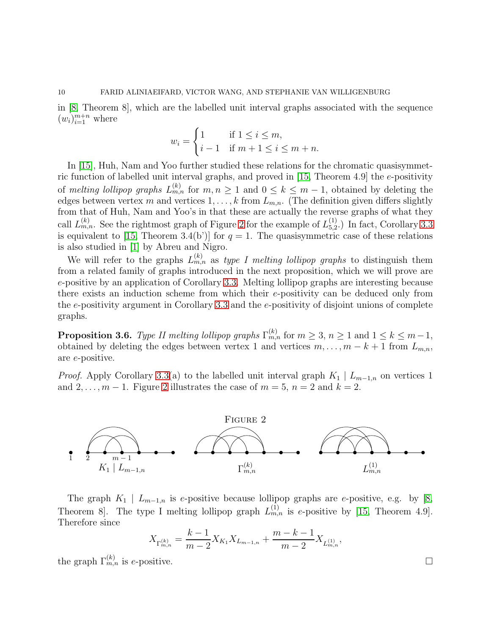in [\[8,](#page-35-12) Theorem 8], which are the labelled unit interval graphs associated with the sequence  $(w_i)_{i=1}^{m+n}$  where

$$
w_i = \begin{cases} 1 & \text{if } 1 \le i \le m, \\ i - 1 & \text{if } m + 1 \le i \le m + n. \end{cases}
$$

In [\[15\]](#page-35-13), Huh, Nam and Yoo further studied these relations for the chromatic quasisymmetric function of labelled unit interval graphs, and proved in [\[15,](#page-35-13) Theorem 4.9] the e-positivity of melting lollipop graphs  $L_{m,n}^{(k)}$  for  $m, n \geq 1$  and  $0 \leq k \leq m-1$ , obtained by deleting the edges between vertex m and vertices  $1, \ldots, k$  from  $L_{m,n}$ . (The definition given differs slightly from that of Huh, Nam and Yoo's in that these are actually the reverse graphs of what they call  $L_{m,n}^{(k)}$ . See the rightmost graph of Figure [2](#page-9-1) for the example of  $L_{5,2}^{(1)}$  $_{5,2}^{(1)}$ .) In fact, Corollary [3.3](#page-8-0) is equivalent to [\[15,](#page-35-13) Theorem 3.4(b')] for  $q = 1$ . The quasisymmetric case of these relations is also studied in [\[1\]](#page-35-11) by Abreu and Nigro.

We will refer to the graphs  $L_{m,n}^{(k)}$  as type I melting lollipop graphs to distinguish them from a related family of graphs introduced in the next proposition, which we will prove are e-positive by an application of Corollary [3.3.](#page-8-0) Melting lollipop graphs are interesting because there exists an induction scheme from which their e-positivity can be deduced only from the e-positivity argument in Corollary [3.3](#page-8-0) and the e-positivity of disjoint unions of complete graphs.

<span id="page-9-0"></span>**Proposition 3.6.** Type II melting lollipop graphs  $\Gamma_{m,n}^{(k)}$  for  $m \geq 3$ ,  $n \geq 1$  and  $1 \leq k \leq m-1$ , obtained by deleting the edges between vertex 1 and vertices  $m, \ldots, m - k + 1$  from  $L_{m,n}$ , are e-positive.

<span id="page-9-1"></span>*Proof.* Apply Corollary [3.3\(](#page-8-0)a) to the labelled unit interval graph  $K_1 \mid L_{m-1,n}$  on vertices 1 and  $2, \ldots, m-1$ . Figure [2](#page-9-1) illustrates the case of  $m = 5$ ,  $n = 2$  and  $k = 2$ .



The graph  $K_1 \mid L_{m-1,n}$  is e-positive because lollipop graphs are e-positive, e.g. by [\[8,](#page-35-12) Theorem 8. The type I melting lollipop graph  $L_{m,n}^{(1)}$  is e-positive by [\[15,](#page-35-13) Theorem 4.9]. Therefore since

$$
X_{\Gamma_{m,n}^{(k)}} = \frac{k-1}{m-2} X_{K_1} X_{L_{m-1,n}} + \frac{m-k-1}{m-2} X_{L_{m,n}^{(1)},}
$$

the graph  $\Gamma_{m,n}^{(k)}$  is e-positive.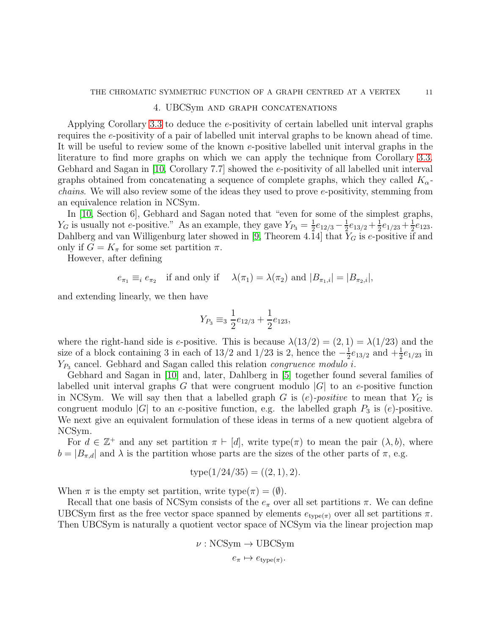### 4. UBCSym and graph concatenations

<span id="page-10-0"></span>Applying Corollary [3.3](#page-8-0) to deduce the e-positivity of certain labelled unit interval graphs requires the e-positivity of a pair of labelled unit interval graphs to be known ahead of time. It will be useful to review some of the known e-positive labelled unit interval graphs in the literature to find more graphs on which we can apply the technique from Corollary [3.3.](#page-8-0) Gebhard and Sagan in [\[10,](#page-35-15) Corollary 7.7] showed the e-positivity of all labelled unit interval graphs obtained from concatenating a sequence of complete graphs, which they called  $K_{\alpha}$ chains. We will also review some of the ideas they used to prove e-positivity, stemming from an equivalence relation in NCSym.

In [\[10,](#page-35-15) Section 6], Gebhard and Sagan noted that "even for some of the simplest graphs,  $Y_G$  is usually not e-positive." As an example, they gave  $Y_{P_3} = \frac{1}{2}$  $\frac{1}{2}e_{12/3} - \frac{1}{2}$  $\frac{1}{2}e_{13/2} + \frac{1}{2}$  $\frac{1}{2}e_{1/23} + \frac{1}{2}$  $rac{1}{2}e_{123}.$ Dahlberg and van Willigenburg later showed in [\[9,](#page-35-17) Theorem 4.14] that  $Y_G$  is e-positive if and only if  $G = K_{\pi}$  for some set partition  $\pi$ .

However, after defining

$$
e_{\pi_1} \equiv_i e_{\pi_2}
$$
 if and only if  $\lambda(\pi_1) = \lambda(\pi_2)$  and  $|B_{\pi_1,i}| = |B_{\pi_2,i}|$ ,

and extending linearly, we then have

$$
Y_{P_3} \equiv_3 \frac{1}{2}e_{12/3} + \frac{1}{2}e_{123},
$$

where the right-hand side is e-positive. This is because  $\lambda(13/2) = (2, 1) = \lambda(1/23)$  and the size of a block containing 3 in each of  $13/2$  and  $1/23$  is 2, hence the  $-\frac{1}{2}$  $\frac{1}{2}e_{13/2}$  and  $+\frac{1}{2}e_{1/23}$  in  $Y_{P_3}$  cancel. Gebhard and Sagan called this relation *congruence modulo i*.

Gebhard and Sagan in [\[10\]](#page-35-15) and, later, Dahlberg in [\[5\]](#page-35-16) together found several families of labelled unit interval graphs G that were congruent modulo  $|G|$  to an e-positive function in NCSym. We will say then that a labelled graph G is  $(e)$ -positive to mean that  $Y_G$  is congruent modulo  $|G|$  to an e-positive function, e.g. the labelled graph  $P_3$  is  $(e)$ -positive. We next give an equivalent formulation of these ideas in terms of a new quotient algebra of NCSym.

For  $d \in \mathbb{Z}^+$  and any set partition  $\pi \vdash [d]$ , write type $(\pi)$  to mean the pair  $(\lambda, b)$ , where  $b = |B_{\pi,d}|$  and  $\lambda$  is the partition whose parts are the sizes of the other parts of  $\pi$ , e.g.

$$
type(1/24/35) = ((2, 1), 2).
$$

When  $\pi$  is the empty set partition, write type $(\pi) = (\emptyset)$ .

Recall that one basis of NCSym consists of the  $e_{\pi}$  over all set partitions  $\pi$ . We can define UBCSym first as the free vector space spanned by elements  $e_{\text{type}(\pi)}$  over all set partitions  $\pi$ . Then UBCSym is naturally a quotient vector space of NCSym via the linear projection map

$$
\nu : \text{NCSym} \to \text{UBCSym}
$$

$$
e_{\pi} \mapsto e_{\text{type}(\pi)}.
$$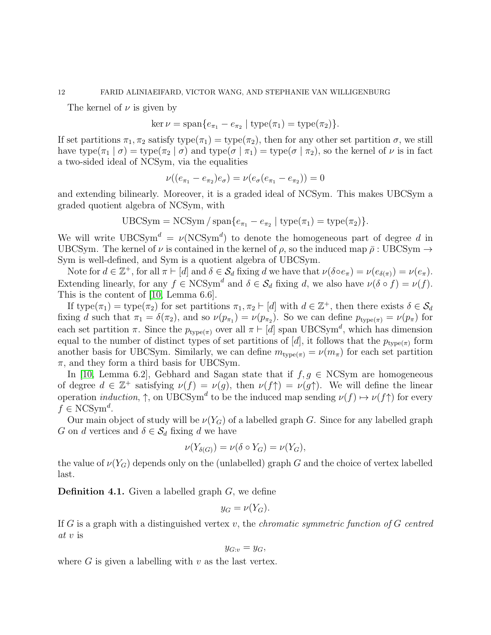The kernel of  $\nu$  is given by

$$
\ker \nu = \text{span}\{e_{\pi_1} - e_{\pi_2} \mid \text{type}(\pi_1) = \text{type}(\pi_2)\}.
$$

If set partitions  $\pi_1, \pi_2$  satisfy type $(\pi_1) =$  type $(\pi_2)$ , then for any other set partition  $\sigma$ , we still have type( $\pi_1 | \sigma$ ) = type( $\pi_2 | \sigma$ ) and type( $\sigma | \pi_1$ ) = type( $\sigma | \pi_2$ ), so the kernel of  $\nu$  is in fact a two-sided ideal of NCSym, via the equalities

$$
\nu((e_{\pi_1} - e_{\pi_2})e_{\sigma}) = \nu(e_{\sigma}(e_{\pi_1} - e_{\pi_2})) = 0
$$

and extending bilinearly. Moreover, it is a graded ideal of NCSym. This makes UBCSym a graded quotient algebra of NCSym, with

$$
UBCSym = NCSym / span{e_{\pi_1} - e_{\pi_2} | type(\pi_1) = type(\pi_2)}.
$$

We will write  $UBCSym^d = \nu(NCSym^d)$  to denote the homogeneous part of degree d in UBCSym. The kernel of  $\nu$  is contained in the kernel of  $\rho$ , so the induced map  $\bar{\rho}$  : UBCSym  $\rightarrow$ Sym is well-defined, and Sym is a quotient algebra of UBCSym.

Note for  $d \in \mathbb{Z}^+$ , for all  $\pi \vdash [d]$  and  $\delta \in \mathcal{S}_d$  fixing d we have that  $\nu(\delta \circ e_{\pi}) = \nu(e_{\delta(\pi)}) = \nu(e_{\pi})$ . Extending linearly, for any  $f \in \text{NCSym}^d$  and  $\delta \in \mathcal{S}_d$  fixing d, we also have  $\nu(\delta \circ f) = \nu(f)$ . This is the content of [\[10,](#page-35-15) Lemma 6.6].

If type $(\pi_1) =$  type $(\pi_2)$  for set partitions  $\pi_1, \pi_2 \vdash [d]$  with  $d \in \mathbb{Z}^+$ , then there exists  $\delta \in \mathcal{S}_d$ fixing d such that  $\pi_1 = \delta(\pi_2)$ , and so  $\nu(p_{\pi_1}) = \nu(p_{\pi_2})$ . So we can define  $p_{\text{type}(\pi)} = \nu(p_{\pi})$  for each set partition  $\pi$ . Since the  $p_{type(\pi)}$  over all  $\pi \vdash [d]$  span UBCSym<sup>d</sup>, which has dimension equal to the number of distinct types of set partitions of [d], it follows that the  $p_{type(\pi)}$  form another basis for UBCSym. Similarly, we can define  $m_{\text{type}(\pi)} = \nu(m_\pi)$  for each set partition  $\pi$ , and they form a third basis for UBCSym.

In [\[10,](#page-35-15) Lemma 6.2], Gebhard and Sagan state that if  $f, g \in NCSym$  are homogeneous of degree  $d \in \mathbb{Z}^+$  satisfying  $\nu(f) = \nu(g)$ , then  $\nu(f \uparrow) = \nu(g \uparrow)$ . We will define the linear operation *induction*,  $\uparrow$ , on UBCSym<sup>d</sup> to be the induced map sending  $\nu(f) \mapsto \nu(f\uparrow)$  for every  $f \in \text{NCSym}^d$ .

Our main object of study will be  $\nu(Y_G)$  of a labelled graph G. Since for any labelled graph G on d vertices and  $\delta \in \mathcal{S}_d$  fixing d we have

$$
\nu(Y_{\delta(G)}) = \nu(\delta \circ Y_G) = \nu(Y_G),
$$

the value of  $\nu(Y_G)$  depends only on the (unlabelled) graph G and the choice of vertex labelled last.

**Definition 4.1.** Given a labelled graph  $G$ , we define

$$
y_G = \nu(Y_G).
$$

If G is a graph with a distinguished vertex v, the *chromatic symmetric function of G centred* at v is

$$
y_{G:v}=y_G,
$$

where  $G$  is given a labelling with  $v$  as the last vertex.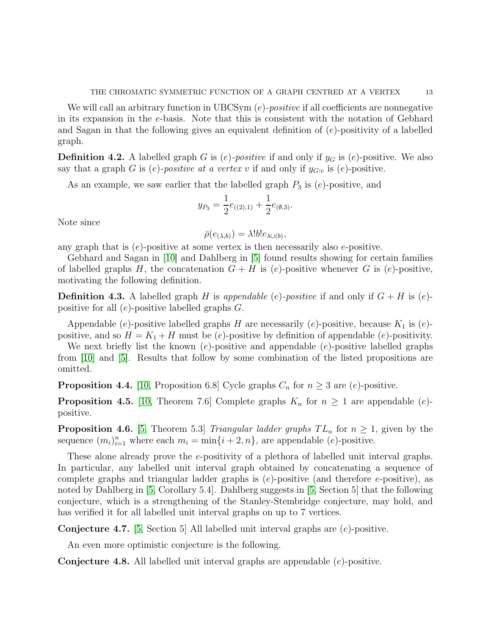We will call an arbitrary function in  $UBCSym$  (e)-positive if all coefficients are nonnegative in its expansion in the e-basis. Note that this is consistent with the notation of Gebhard and Sagan in that the following gives an equivalent definition of  $(e)$ -positivity of a labelled graph.

<span id="page-12-0"></span>**Definition 4.2.** A labelled graph G is (e)-positive if and only if  $y_G$  is (e)-positive. We also say that a graph G is (e)-positive at a vertex v if and only if  $y_{G:v}$  is (e)-positive.

As an example, we saw earlier that the labelled graph  $P_3$  is  $(e)$ -positive, and

$$
y_{P_3} = \frac{1}{2}e_{((2),1)} + \frac{1}{2}e_{(\emptyset,3)}.
$$

Note since

$$
\bar{\rho}(e_{(\lambda,b)}) = \lambda! b! e_{\lambda \cup (b)},
$$

any graph that is  $(e)$ -positive at some vertex is then necessarily also  $e$ -positive.

Gebhard and Sagan in [\[10\]](#page-35-15) and Dahlberg in [\[5\]](#page-35-16) found results showing for certain families of labelled graphs H, the concatenation  $G + H$  is  $(e)$ -positive whenever G is  $(e)$ -positive, motivating the following definition.

**Definition 4.3.** A labelled graph H is appendable (e)-positive if and only if  $G + H$  is (e)positive for all  $(e)$ -positive labelled graphs  $G$ .

Appendable (e)-positive labelled graphs H are necessarily (e)-positive, because  $K_1$  is (e)positive, and so  $H = K_1 + H$  must be (e)-positive by definition of appendable (e)-positivity.

We next briefly list the known  $(e)$ -positive and appendable  $(e)$ -positive labelled graphs from [\[10\]](#page-35-15) and [\[5\]](#page-35-16). Results that follow by some combination of the listed propositions are omitted.

<span id="page-12-5"></span>**Proposition 4.4.** [\[10,](#page-35-15) Proposition 6.8] Cycle graphs  $C_n$  for  $n \geq 3$  are (e)-positive.

<span id="page-12-1"></span>**Proposition 4.5.** [\[10,](#page-35-15) Theorem 7.6] Complete graphs  $K_n$  for  $n \geq 1$  are appendable (e)positive.

<span id="page-12-2"></span>**Proposition 4.6.** [\[5,](#page-35-16) Theorem 5.3] Triangular ladder graphs  $TL_n$  for  $n \geq 1$ , given by the sequence  $(m_i)_{i=1}^n$  where each  $m_i = \min\{i+2, n\}$ , are appendable  $(e)$ -positive.

These alone already prove the e-positivity of a plethora of labelled unit interval graphs. In particular, any labelled unit interval graph obtained by concatenating a sequence of complete graphs and triangular ladder graphs is  $(e)$ -positive (and therefore e-positive), as noted by Dahlberg in [\[5,](#page-35-16) Corollary 5.4]. Dahlberg suggests in [\[5,](#page-35-16) Section 5] that the following conjecture, which is a strengthening of the Stanley-Stembridge conjecture, may hold, and has verified it for all labelled unit interval graphs on up to 7 vertices.

<span id="page-12-3"></span>**Conjecture 4.7.** [\[5,](#page-35-16) Section 5] All labelled unit interval graphs are  $(e)$ -positive.

An even more optimistic conjecture is the following.

<span id="page-12-4"></span>**Conjecture 4.8.** All labelled unit interval graphs are appendable  $(e)$ -positive.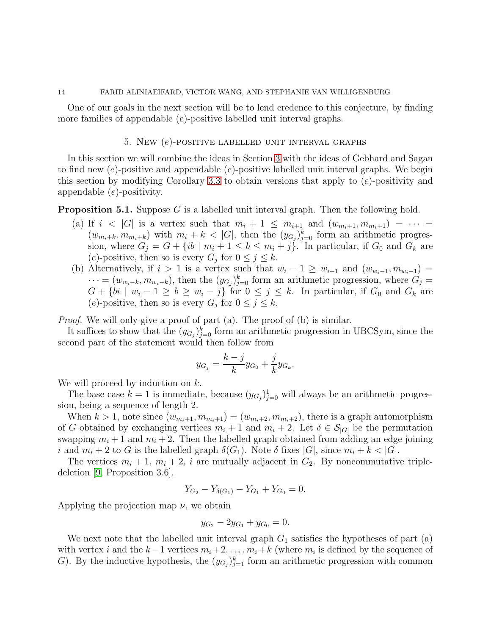<span id="page-13-0"></span>One of our goals in the next section will be to lend credence to this conjecture, by finding more families of appendable  $(e)$ -positive labelled unit interval graphs.

#### 5. New  $(e)$ -positive labelled unit interval graphs

In this section we will combine the ideas in Section [3](#page-7-0) with the ideas of Gebhard and Sagan to find new  $(e)$ -positive and appendable  $(e)$ -positive labelled unit interval graphs. We begin this section by modifying Corollary [3.3](#page-8-0) to obtain versions that apply to  $(e)$ -positivity and appendable (e)-positivity.

<span id="page-13-1"></span>**Proposition 5.1.** Suppose G is a labelled unit interval graph. Then the following hold.

- (a) If  $i < |G|$  is a vertex such that  $m_i + 1 \leq m_{i+1}$  and  $(w_{m_i+1}, m_{m_i+1}) = \cdots$  $(w_{m_i+k}, m_{m_i+k})$  with  $m_i + k < |G|$ , then the  $(y_{G_j})_{j=0}^k$  form an arithmetic progression, where  $G_i = G + \{ib \mid m_i + 1 \leq b \leq m_i + j\}$ . In particular, if  $G_0$  and  $G_k$  are (e)-positive, then so is every  $G_j$  for  $0 \leq j \leq k$ .
- (b) Alternatively, if  $i > 1$  is a vertex such that  $w_i 1 \geq w_{i-1}$  and  $(w_{w_i-1}, m_{w_i-1}) =$  $\dots = (w_{w_i-k}, m_{w_i-k}),$  then the  $(y_{G_j})_{j=0}^k$  form an arithmetic progression, where  $G_j =$  $G + \{bi \mid w_i - 1 \ge b \ge w_i - j\}$  for  $0 \le j \le k$ . In particular, if  $G_0$  and  $G_k$  are (e)-positive, then so is every  $G_j$  for  $0 \leq j \leq k$ .

Proof. We will only give a proof of part (a). The proof of (b) is similar.

It suffices to show that the  $(y_{G_j})_{j=0}^k$  form an arithmetic progression in UBCSym, since the second part of the statement would then follow from

$$
y_{G_j} = \frac{k-j}{k}y_{G_0} + \frac{j}{k}y_{G_k}.
$$

We will proceed by induction on  $k$ .

The base case  $k = 1$  is immediate, because  $(y_{G_j})_{j=0}^1$  will always be an arithmetic progression, being a sequence of length 2.

When  $k > 1$ , note since  $(w_{m_i+1}, m_{m_i+1}) = (w_{m_i+2}, m_{m_i+2})$ , there is a graph automorphism of G obtained by exchanging vertices  $m_i + 1$  and  $m_i + 2$ . Let  $\delta \in S_{|G|}$  be the permutation swapping  $m_i + 1$  and  $m_i + 2$ . Then the labelled graph obtained from adding an edge joining i and  $m_i + 2$  to G is the labelled graph  $\delta(G_1)$ . Note  $\delta$  fixes  $|G|$ , since  $m_i + k < |G|$ .

The vertices  $m_i + 1$ ,  $m_i + 2$ , i are mutually adjacent in  $G_2$ . By noncommutative tripledeletion [\[9,](#page-35-17) Proposition 3.6],

$$
Y_{G_2} - Y_{\delta(G_1)} - Y_{G_1} + Y_{G_0} = 0.
$$

Applying the projection map  $\nu$ , we obtain

$$
y_{G_2} - 2y_{G_1} + y_{G_0} = 0.
$$

We next note that the labelled unit interval graph  $G_1$  satisfies the hypotheses of part (a) with vertex *i* and the  $k-1$  vertices  $m_i+2, \ldots, m_i+k$  (where  $m_i$  is defined by the sequence of G). By the inductive hypothesis, the  $(y_{G_j})_{j=1}^k$  form an arithmetic progression with common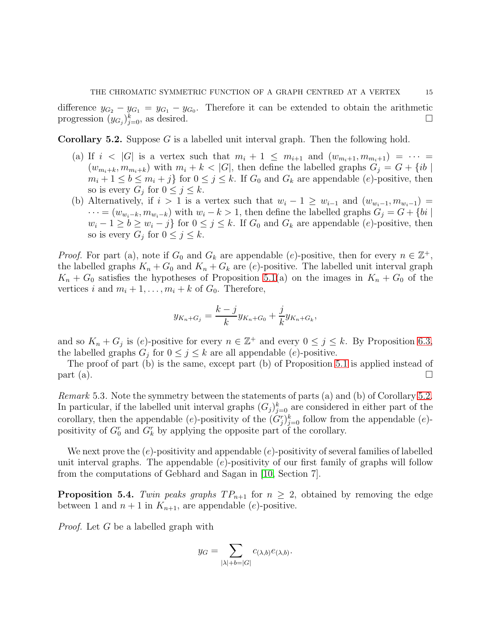difference  $y_{G_2} - y_{G_1} = y_{G_1} - y_{G_0}$ . Therefore it can be extended to obtain the arithmetic progression  $(y_{G_j})_j^k$  $\sum_{j=0}^{k}$ , as desired.

<span id="page-14-0"></span>Corollary 5.2. Suppose G is a labelled unit interval graph. Then the following hold.

- (a) If  $i < |G|$  is a vertex such that  $m_i + 1 \leq m_{i+1}$  and  $(w_{m_i+1}, m_{m_i+1}) = \cdots$  $(w_{m_i+k}, m_{m_i+k})$  with  $m_i + k < |G|$ , then define the labelled graphs  $G_i = G + \{ib \mid$  $m_i + 1 \leq b \leq m_i + j$  for  $0 \leq j \leq k$ . If  $G_0$  and  $G_k$  are appendable (e)-positive, then so is every  $G_j$  for  $0 \le j \le k$ .
- (b) Alternatively, if  $i > 1$  is a vertex such that  $w_i 1 \geq w_{i-1}$  and  $(w_{w_i-1}, m_{w_i-1}) =$  $\cdots = (w_{w_i-k}, m_{w_i-k})$  with  $w_i - k > 1$ , then define the labelled graphs  $G_i = G + \{bi \mid$  $w_i - 1 \ge b \ge w_i - j$  for  $0 \le j \le k$ . If  $G_0$  and  $G_k$  are appendable (e)-positive, then so is every  $G_j$  for  $0 \le j \le k$ .

*Proof.* For part (a), note if  $G_0$  and  $G_k$  are appendable (e)-positive, then for every  $n \in \mathbb{Z}^+$ , the labelled graphs  $K_n + G_0$  and  $K_n + G_k$  are (e)-positive. The labelled unit interval graph  $K_n + G_0$  satisfies the hypotheses of Proposition [5.1\(](#page-13-1)a) on the images in  $K_n + G_0$  of the vertices i and  $m_i + 1, \ldots, m_i + k$  of  $G_0$ . Therefore,

$$
y_{K_n+G_j} = \frac{k-j}{k} y_{K_n+G_0} + \frac{j}{k} y_{K_n+G_k},
$$

and so  $K_n + G_j$  is (e)-positive for every  $n \in \mathbb{Z}^+$  and every  $0 \leq j \leq k$ . By Proposition [6.3,](#page-20-0) the labelled graphs  $G_j$  for  $0 \le j \le k$  are all appendable  $(e)$ -positive.

The proof of part (b) is the same, except part (b) of Proposition [5.1](#page-13-1) is applied instead of part (a).  $\Box$ 

<span id="page-14-2"></span>Remark 5.3. Note the symmetry between the statements of parts (a) and (b) of Corollary [5.2.](#page-14-0) In particular, if the labelled unit interval graphs  $(G_j)_{j=0}^k$  are considered in either part of the corollary, then the appendable (e)-positivity of the  $(G_j^r)_{j=0}^k$  follow from the appendable (e)positivity of  $G_0^r$  and  $G_k^r$  by applying the opposite part of the corollary.

We next prove the  $(e)$ -positivity and appendable  $(e)$ -positivity of several families of labelled unit interval graphs. The appendable  $(e)$ -positivity of our first family of graphs will follow from the computations of Gebhard and Sagan in [\[10,](#page-35-15) Section 7].

<span id="page-14-1"></span>**Proposition 5.4.** Twin peaks graphs  $TP_{n+1}$  for  $n \geq 2$ , obtained by removing the edge between 1 and  $n + 1$  in  $K_{n+1}$ , are appendable (e)-positive.

Proof. Let G be a labelled graph with

$$
y_G = \sum_{|\lambda|+b=|G|} c_{(\lambda,b)} e_{(\lambda,b)}.
$$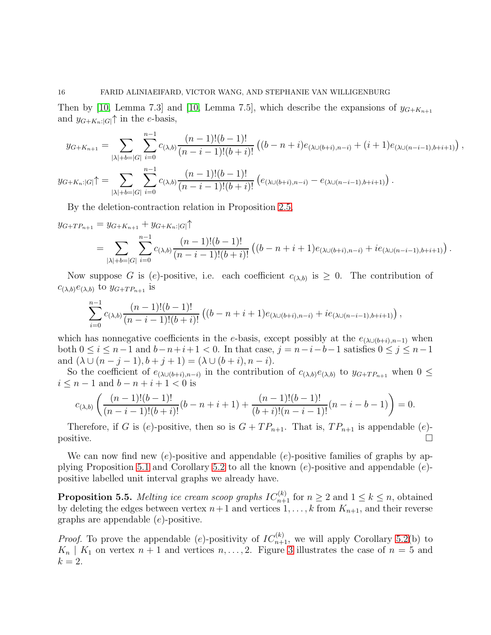Then by [\[10,](#page-35-15) Lemma 7.3] and [10, Lemma 7.5], which describe the expansions of  $y_{G+K_{n+1}}$ and  $y_{G+K_n:|G|}$ <sup> $\uparrow$ </sup> in the e-basis,

$$
y_{G+K_{n+1}} = \sum_{|\lambda|+b=|G|} \sum_{i=0}^{n-1} c_{(\lambda,b)} \frac{(n-1)!(b-1)!}{(n-i-1)!(b+i)!} \left( (b-n+i) e_{(\lambda \cup (b+i),n-i)} + (i+1) e_{(\lambda \cup (n-i-1),b+i+1)} \right),
$$
  

$$
y_{G+K_n:|G|} \uparrow = \sum_{|\lambda|+b=|G|} \sum_{i=0}^{n-1} c_{(\lambda,b)} \frac{(n-1)!(b-1)!}{(n-i-1)!(b+i)!} \left( e_{(\lambda \cup (b+i),n-i)} - e_{(\lambda \cup (n-i-1),b+i+1)} \right).
$$

By the deletion-contraction relation in Proposition [2.5,](#page-6-0)

$$
y_{G+TP_{n+1}} = y_{G+K_{n+1}} + y_{G+K_n:|G|} \uparrow
$$
  
= 
$$
\sum_{|\lambda|+b=|G|} \sum_{i=0}^{n-1} c_{(\lambda,b)} \frac{(n-1)!(b-1)!}{(n-i-1)!(b+i)!} ((b-n+i+1) e_{(\lambda \cup (b+i),n-i)} + ie_{(\lambda \cup (n-i-1),b+i+1)})
$$
.

Now suppose G is (e)-positive, i.e. each coefficient  $c_{(\lambda,b)}$  is  $\geq 0$ . The contribution of  $c_{(\lambda,b)}e_{(\lambda,b)}$  to  $y_{G+TP_{n+1}}$  is

$$
\sum_{i=0}^{n-1} c_{(\lambda,b)} \frac{(n-1)!(b-1)!}{(n-i-1)!(b+i)!} \left( (b-n+i+1) e_{(\lambda \cup (b+i),n-i)} + ie_{(\lambda \cup (n-i-1),b+i+1)} \right),
$$

which has nonnegative coefficients in the e-basis, except possibly at the  $e_{(\lambda \cup (b+i),n-1)}$  when both  $0 \le i \le n-1$  and  $b-n+i+1 < 0$ . In that case,  $j = n-i-b-1$  satisfies  $0 \le j \le n-1$ and  $(\lambda \cup (n-j-1), b+j+1) = (\lambda \cup (b+i), n-i)$ .

So the coefficient of  $e_{(\lambda\cup(b+i),n-i)}$  in the contribution of  $c_{(\lambda,b)}e_{(\lambda,b)}$  to  $y_{G+TP_{n+1}}$  when  $0 \leq$  $i \leq n - 1$  and  $b - n + i + 1 < 0$  is

$$
c_{(\lambda,b)}\left(\frac{(n-1)!(b-1)!}{(n-i-1)!(b+i)!}(b-n+i+1)+\frac{(n-1)!(b-1)!}{(b+i)!(n-i-1)!}(n-i-b-1)\right)=0.
$$

Therefore, if G is (e)-positive, then so is  $G + TP_{n+1}$ . That is,  $TP_{n+1}$  is appendable (e)positive.  $\Box$ 

We can now find new  $(e)$ -positive and appendable  $(e)$ -positive families of graphs by ap-plying Proposition [5.1](#page-13-1) and Corollary [5.2](#page-14-0) to all the known  $(e)$ -positive and appendable  $(e)$ positive labelled unit interval graphs we already have.

<span id="page-15-0"></span>**Proposition 5.5.** Melting ice cream scoop graphs  $IC_{n+1}^{(k)}$  for  $n \geq 2$  and  $1 \leq k \leq n$ , obtained by deleting the edges between vertex  $n+1$  and vertices  $1, \ldots, k$  from  $K_{n+1}$ , and their reverse graphs are appendable (e)-positive.

*Proof.* To prove the appendable (e)-positivity of  $IC_{n+1}^{(k)}$ , we will apply Corollary [5.2\(](#page-14-0)b) to  $K_n \mid K_1$  on vertex  $n+1$  and vertices  $n, \ldots, 2$ . Figure [3](#page-16-0) illustrates the case of  $n=5$  and  $k=2$ .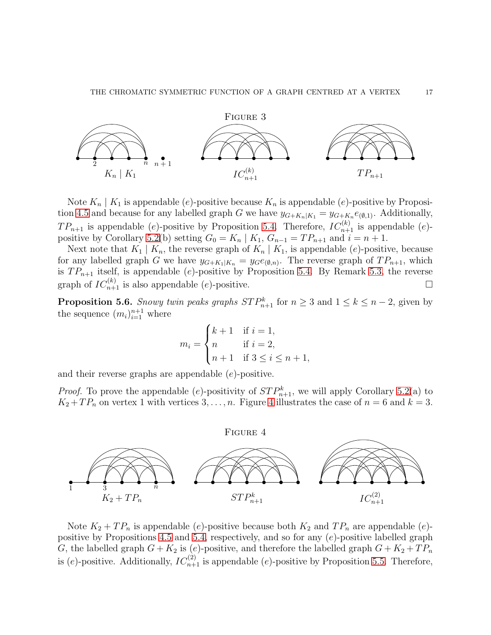<span id="page-16-0"></span>

Note  $K_n \mid K_1$  is appendable (e)-positive because  $K_n$  is appendable (e)-positive by Proposi-tion [4.5](#page-12-1) and because for any labelled graph G we have  $y_{G+K_n|K_1} = y_{G+K_n}e_{(\emptyset,1)}$ . Additionally,  $TP_{n+1}$  is appendable (e)-positive by Proposition [5.4.](#page-14-1) Therefore,  $IC_{n+1}^{(k)}$  is appendable (e)-positive by Corollary [5.2\(](#page-14-0)b) setting  $G_0 = K_n | K_1, G_{n-1} = TP_{n+1}$  and  $i = n + 1$ .

Next note that  $K_1 | K_n$ , the reverse graph of  $K_n | K_1$ , is appendable (e)-positive, because for any labelled graph G we have  $y_{G+K_1|K_n} = y_G e_{(\emptyset,n)}$ . The reverse graph of  $TP_{n+1}$ , which is  $TP_{n+1}$  itself, is appendable (e)-positive by Proposition [5.4.](#page-14-1) By Remark [5.3,](#page-14-2) the reverse graph of  $IC_{n+1}^{(k)}$  is also appendable (e)-positive.

<span id="page-16-2"></span>**Proposition 5.6.** Snowy twin peaks graphs  $ST P_{n+1}^k$  for  $n \geq 3$  and  $1 \leq k \leq n-2$ , given by the sequence  $(m_i)_{i=1}^{n+1}$  where

$$
m_i = \begin{cases} k+1 & \text{if } i = 1, \\ n & \text{if } i = 2, \\ n+1 & \text{if } 3 \le i \le n+1, \end{cases}
$$

and their reverse graphs are appendable (e)-positive.

<span id="page-16-1"></span>*Proof.* To prove the appendable (e)-positivity of  $STP_{n+1}^k$ , we will apply Corollary [5.2\(](#page-14-0)a) to  $K_2 + TP_n$  on vertex 1 with vertices 3, ..., n. Figure [4](#page-16-1) illustrates the case of  $n = 6$  and  $k = 3$ .



Note  $K_2 + TP_n$  is appendable (e)-positive because both  $K_2$  and  $TP_n$  are appendable (e)-positive by Propositions [4.5](#page-12-1) and [5.4,](#page-14-1) respectively, and so for any  $(e)$ -positive labelled graph G, the labelled graph  $G + K_2$  is (e)-positive, and therefore the labelled graph  $G + K_2 + TP_n$ is (e)-positive. Additionally,  $IC_{n+1}^{(2)}$  is appendable (e)-positive by Proposition [5.5.](#page-15-0) Therefore,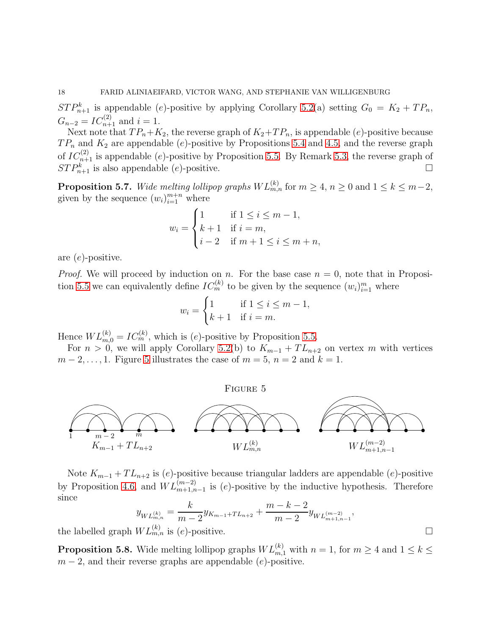$ST P_{n+1}^k$  is appendable (e)-positive by applying Corollary [5.2\(](#page-14-0)a) setting  $G_0 = K_2 + T P_n$ ,  $G_{n-2} = IC_{n+1}^{(2)}$  and  $i = 1$ .

Next note that  $TP_n+K_2$ , the reverse graph of  $K_2+TP_n$ , is appendable (e)-positive because  $TP_n$  and  $K_2$  are appendable (e)-positive by Propositions [5.4](#page-14-1) and [4.5,](#page-12-1) and the reverse graph of  $IC_{n+1}^{(2)}$  is appendable (e)-positive by Proposition [5.5.](#page-15-0) By Remark [5.3,](#page-14-2) the reverse graph of  $STP_{n+1}^k$  is also appendable (e)-positive.

**Proposition 5.7.** Wide melting lollipop graphs  $WL_{m,n}^{(k)}$  for  $m \geq 4$ ,  $n \geq 0$  and  $1 \leq k \leq m-2$ , given by the sequence  $(w_i)_{i=1}^{m+n}$  where

$$
w_i = \begin{cases} 1 & \text{if } 1 \le i \le m-1, \\ k+1 & \text{if } i = m, \\ i-2 & \text{if } m+1 \le i \le m+n, \end{cases}
$$

are (e)-positive.

*Proof.* We will proceed by induction on n. For the base case  $n = 0$ , note that in Proposi-tion [5.5](#page-15-0) we can equivalently define  $IC_m^{(k)}$  to be given by the sequence  $(w_i)_{i=1}^m$  where

$$
w_i = \begin{cases} 1 & \text{if } 1 \leq i \leq m-1, \\ k+1 & \text{if } i = m. \end{cases}
$$

Hence  $WL_{m,0}^{(k)} = IC_m^{(k)}$ , which is (e)-positive by Proposition [5.5.](#page-15-0)

<span id="page-17-0"></span>For  $n > 0$ , we will apply Corollary [5.2\(](#page-14-0)b) to  $K_{m-1} + TL_{n+2}$  on vertex m with vertices  $m-2,\ldots,1$ . Figure [5](#page-17-0) illustrates the case of  $m=5, n=2$  and  $k=1$ .





Note  $K_{m-1} + TL_{n+2}$  is (e)-positive because triangular ladders are appendable (e)-positive by Proposition [4.6,](#page-12-2) and  $WL_{m+1,n-1}^{(m-2)}$  is (e)-positive by the inductive hypothesis. Therefore since

$$
y_{WL_{m,n}^{(k)}} = \frac{k}{m-2} y_{K_{m-1}+TL_{n+2}} + \frac{m-k-2}{m-2} y_{WL_{m+1,n-1}^{(m-2)}},
$$
  
the labelled graph  $WL_{m,n}^{(k)}$  is (e)-positive.

**Proposition 5.8.** Wide melting lollipop graphs  $WL_{m,1}^{(k)}$  with  $n = 1$ , for  $m \ge 4$  and  $1 \le k \le$  $m-2$ , and their reverse graphs are appendable  $(e)$ -positive.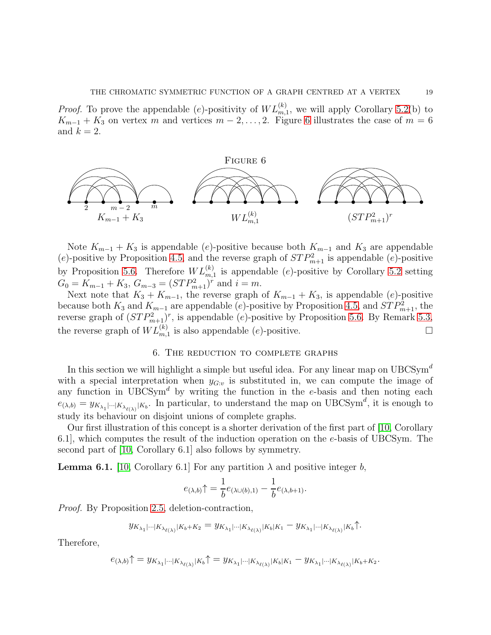*Proof.* To prove the appendable (e)-positivity of  $WL_{m,1}^{(k)}$ , we will apply Corollary [5.2\(](#page-14-0)b) to  $K_{m-1} + K_3$  on vertex m and vertices  $m-2,\ldots,2$ . Figure [6](#page-18-1) illustrates the case of  $m=6$ and  $k = 2$ .

<span id="page-18-1"></span>

Note  $K_{m-1} + K_3$  is appendable (e)-positive because both  $K_{m-1}$  and  $K_3$  are appendable (e)-positive by Proposition [4.5,](#page-12-1) and the reverse graph of  $STP_{m+1}^2$  is appendable (e)-positive by Proposition [5.6.](#page-16-2) Therefore  $WL_{m,1}^{(k)}$  is appendable (e)-positive by Corollary [5.2](#page-14-0) setting  $G_0 = K_{m-1} + K_3$ ,  $G_{m-3} = (STP_{m+1}^2)^r$  and  $i = m$ .

Next note that  $K_3 + K_{m-1}$ , the reverse graph of  $K_{m-1} + K_3$ , is appendable (e)-positive because both  $K_3$  and  $K_{m-1}$  are appendable (e)-positive by Proposition [4.5,](#page-12-1) and  $STP_{m+1}^2$ , the reverse graph of  $(STP_{m+1}^2)^r$ , is appendable (e)-positive by Proposition [5.6.](#page-16-2) By Remark [5.3,](#page-14-2) the reverse graph of  $WL_{m,1}^{(k)}$  is also appendable (e)-positive.

#### 6. The reduction to complete graphs

<span id="page-18-0"></span>In this section we will highlight a simple but useful idea. For any linear map on  $UBCSym<sup>d</sup>$ with a special interpretation when  $y_{G:v}$  is substituted in, we can compute the image of any function in  $UBCSym^d$  by writing the function in the e-basis and then noting each  $e_{(\lambda,b)} = y_{K_{\lambda_1}|\cdots|K_{\lambda_{\ell(\lambda)}}|K_b}$ . In particular, to understand the map on UBCSym<sup>d</sup>, it is enough to study its behaviour on disjoint unions of complete graphs.

Our first illustration of this concept is a shorter derivation of the first part of [\[10,](#page-35-15) Corollary 6.1], which computes the result of the induction operation on the e-basis of UBCSym. The second part of [\[10,](#page-35-15) Corollary 6.1] also follows by symmetry.

<span id="page-18-2"></span>**Lemma 6.1.** [\[10,](#page-35-15) Corollary 6.1] For any partition  $\lambda$  and positive integer b,

$$
e_{(\lambda,b)}\uparrow=\frac{1}{b}e_{(\lambda\cup(b),1)}-\frac{1}{b}e_{(\lambda,b+1)}.
$$

Proof. By Proposition [2.5,](#page-6-0) deletion-contraction,

$$
y_{K_{\lambda_1}|\cdots|K_{\lambda_{\ell(\lambda)}}|K_b+K_2}=y_{K_{\lambda_1}|\cdots|K_{\lambda_{\ell(\lambda)}}|K_b|K_1}-y_{K_{\lambda_1}|\cdots|K_{\lambda_{\ell(\lambda)}}|K_b}\uparrow.
$$

Therefore,

$$
e_{(\lambda,b)}\uparrow=y_{K_{\lambda_1}|\cdots |K_{\lambda_{\ell(\lambda)}}|K_b}\uparrow=y_{K_{\lambda_1}|\cdots |K_{\lambda_{\ell(\lambda)}}|K_b|K_1}-y_{K_{\lambda_1}|\cdots |K_{\lambda_{\ell(\lambda)}}|K_b+K_2}.
$$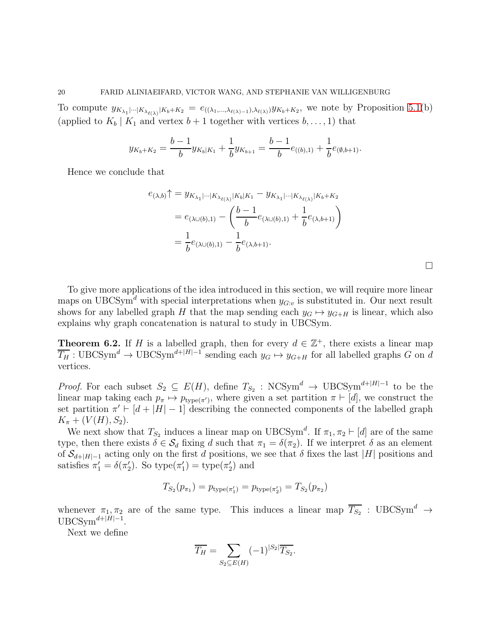To compute  $y_{K_{\lambda_1}|\cdots|K_{\lambda_{\ell(\lambda)}}|K_b+K_2} = e_{((\lambda_1,\ldots,\lambda_{\ell(\lambda)-1}),\lambda_{\ell(\lambda)})}y_{K_b+K_2}$ , we note by Proposition [5.1\(](#page-13-1)b) (applied to  $K_b | K_1$  and vertex  $b+1$  together with vertices  $b, \ldots, 1$ ) that

$$
y_{K_b+K_2} = \frac{b-1}{b} y_{K_b|K_1} + \frac{1}{b} y_{K_{b+1}} = \frac{b-1}{b} e_{((b),1)} + \frac{1}{b} e_{((b,b+1)}.
$$

Hence we conclude that

$$
e_{(\lambda,b)}\uparrow = y_{K_{\lambda_1}|\cdots|K_{\lambda_{\ell(\lambda)}}|K_b|K_1} - y_{K_{\lambda_1}|\cdots|K_{\lambda_{\ell(\lambda)}}|K_b+K_2}
$$
  
=  $e_{(\lambda\cup(b),1)} - \left(\frac{b-1}{b}e_{(\lambda\cup(b),1)} + \frac{1}{b}e_{(\lambda,b+1)}\right)$   
=  $\frac{1}{b}e_{(\lambda\cup(b),1)} - \frac{1}{b}e_{(\lambda,b+1)}.$ 

To give more applications of the idea introduced in this section, we will require more linear maps on UBCSym<sup>d</sup> with special interpretations when  $y_{G:v}$  is substituted in. Our next result shows for any labelled graph H that the map sending each  $y_G \mapsto y_{G+H}$  is linear, which also explains why graph concatenation is natural to study in UBCSym.

<span id="page-19-0"></span>**Theorem 6.2.** If H is a labelled graph, then for every  $d \in \mathbb{Z}^+$ , there exists a linear map  $\overline{T_H}$ : UBCSym<sup>d</sup> → UBCSym<sup>d+|H|-1</sup> sending each  $y_G \mapsto y_{G+H}$  for all labelled graphs G on d vertices.

*Proof.* For each subset  $S_2 \subseteq E(H)$ , define  $T_{S_2}$ :  $NCSym^d \rightarrow \text{UBCSym}^{d+|H|-1}$  to be the linear map taking each  $p_{\pi} \mapsto p_{\text{type}(\pi')}$ , where given a set partition  $\pi \vdash [d]$ , we construct the set partition  $\pi' \vdash [d + |H| - 1]$  describing the connected components of the labelled graph  $K_{\pi} + (V(H), S_2).$ 

We next show that  $T_{S_2}$  induces a linear map on UBCSym<sup>d</sup>. If  $\pi_1, \pi_2 \vdash [d]$  are of the same type, then there exists  $\delta \in \mathcal{S}_d$  fixing d such that  $\pi_1 = \delta(\pi_2)$ . If we interpret  $\delta$  as an element of  $S_{d+|H|-1}$  acting only on the first d positions, we see that  $\delta$  fixes the last |H| positions and satisfies  $\pi'_1 = \delta(\pi'_2)$ . So type $(\pi'_1) = \text{type}(\pi'_2)$  and

$$
T_{S_2}(p_{\pi_1}) = p_{\text{type}(\pi_1')} = p_{\text{type}(\pi_2')} = T_{S_2}(p_{\pi_2})
$$

whenever  $\pi_1, \pi_2$  are of the same type. This induces a linear map  $\overline{T_{S_2}}$  : UBCSym<sup>d</sup>  $\rightarrow$  $UBCSym^{d+|H|-1}$ .

Next we define

$$
\overline{T_H} = \sum_{S_2 \subseteq E(H)} (-1)^{|S_2|} \overline{T_{S_2}}.
$$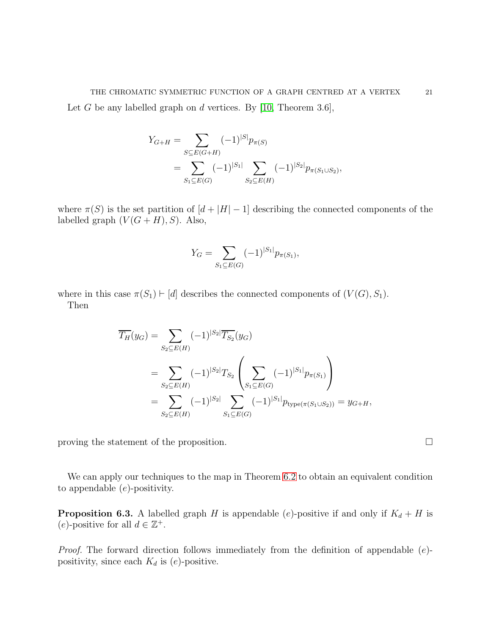$$
Y_{G+H} = \sum_{S \subseteq E(G+H)} (-1)^{|S|} p_{\pi(S)}
$$
  
= 
$$
\sum_{S_1 \subseteq E(G)} (-1)^{|S_1|} \sum_{S_2 \subseteq E(H)} (-1)^{|S_2|} p_{\pi(S_1 \cup S_2)},
$$

where  $\pi(S)$  is the set partition of  $[d + |H| - 1]$  describing the connected components of the labelled graph  $(V(G + H), S)$ . Also,

$$
Y_G = \sum_{S_1 \subseteq E(G)} (-1)^{|S_1|} p_{\pi(S_1)},
$$

where in this case  $\pi(S_1) \vdash [d]$  describes the connected components of  $(V(G), S_1)$ . Then

$$
\overline{T_H}(y_G) = \sum_{S_2 \subseteq E(H)} (-1)^{|S_2|} \overline{T_{S_2}}(y_G)
$$
  
= 
$$
\sum_{S_2 \subseteq E(H)} (-1)^{|S_2|} T_{S_2} \left( \sum_{S_1 \subseteq E(G)} (-1)^{|S_1|} p_{\pi(S_1)} \right)
$$
  
= 
$$
\sum_{S_2 \subseteq E(H)} (-1)^{|S_2|} \sum_{S_1 \subseteq E(G)} (-1)^{|S_1|} p_{\text{type}(\pi(S_1 \cup S_2))} = y_{G+H},
$$

proving the statement of the proposition.

We can apply our techniques to the map in Theorem [6.2](#page-19-0) to obtain an equivalent condition to appendable (e)-positivity.

<span id="page-20-0"></span>**Proposition 6.3.** A labelled graph H is appendable (e)-positive if and only if  $K_d + H$  is (e)-positive for all  $d \in \mathbb{Z}^+$ .

Proof. The forward direction follows immediately from the definition of appendable  $(e)$ positivity, since each  $K_d$  is (e)-positive.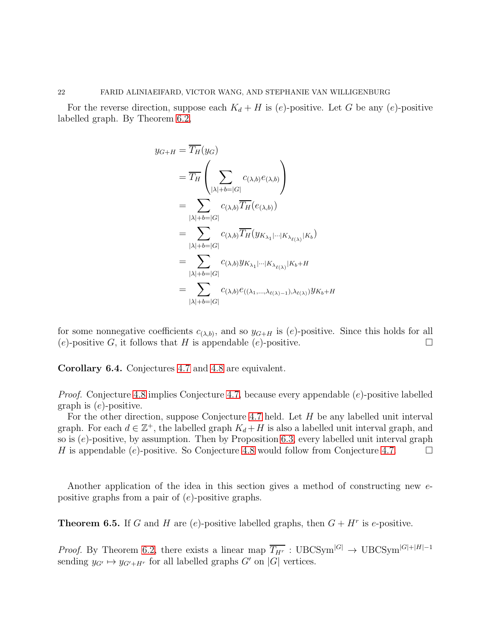For the reverse direction, suppose each  $K_d + H$  is (e)-positive. Let G be any (e)-positive labelled graph. By Theorem [6.2,](#page-19-0)

$$
y_{G+H} = \overline{T_H}(y_G)
$$
  
\n
$$
= \overline{T_H}\left(\sum_{|\lambda|+b=|G|} c_{(\lambda,b)}e_{(\lambda,b)}\right)
$$
  
\n
$$
= \sum_{|\lambda|+b=|G|} c_{(\lambda,b)}\overline{T_H}(e_{(\lambda,b)})
$$
  
\n
$$
= \sum_{|\lambda|+b=|G|} c_{(\lambda,b)}\overline{T_H}(y_{K_{\lambda_1}|\cdots|K_{\lambda_{\ell(\lambda)}}|K_b})
$$
  
\n
$$
= \sum_{|\lambda|+b=|G|} c_{(\lambda,b)}y_{K_{\lambda_1}|\cdots|K_{\lambda_{\ell(\lambda)}}|K_b+H}
$$
  
\n
$$
= \sum_{|\lambda|+b=|G|} c_{(\lambda,b)}e_{((\lambda_1,\ldots,\lambda_{\ell(\lambda)-1}),\lambda_{\ell(\lambda)})}y_{K_b+H}
$$

for some nonnegative coefficients  $c_{(\lambda,b)}$ , and so  $y_{G+H}$  is (e)-positive. Since this holds for all (e)-positive G, it follows that H is appendable (e)-positive.  $\square$ 

Corollary 6.4. Conjectures [4.7](#page-12-3) and [4.8](#page-12-4) are equivalent.

Proof. Conjecture [4.8](#page-12-4) implies Conjecture [4.7,](#page-12-3) because every appendable (e)-positive labelled graph is  $(e)$ -positive.

For the other direction, suppose Conjecture [4.7](#page-12-3) held. Let H be any labelled unit interval graph. For each  $d \in \mathbb{Z}^+$ , the labelled graph  $K_d + H$  is also a labelled unit interval graph, and so is  $(e)$ -positive, by assumption. Then by Proposition [6.3,](#page-20-0) every labelled unit interval graph H is appendable (e)-positive. So Conjecture [4.8](#page-12-4) would follow from Conjecture [4.7.](#page-12-3)  $\Box$ 

Another application of the idea in this section gives a method of constructing new epositive graphs from a pair of (e)-positive graphs.

<span id="page-21-0"></span>**Theorem 6.5.** If G and H are (e)-positive labelled graphs, then  $G + H^r$  is e-positive.

*Proof.* By Theorem [6.2,](#page-19-0) there exists a linear map  $\overline{T_{H^r}}$ : UBCSym<sup>|G|</sup> → UBCSym<sup>|G|+|H|-1</sup> sending  $y_{G'} \mapsto y_{G'+H^r}$  for all labelled graphs  $G'$  on  $|G|$  vertices.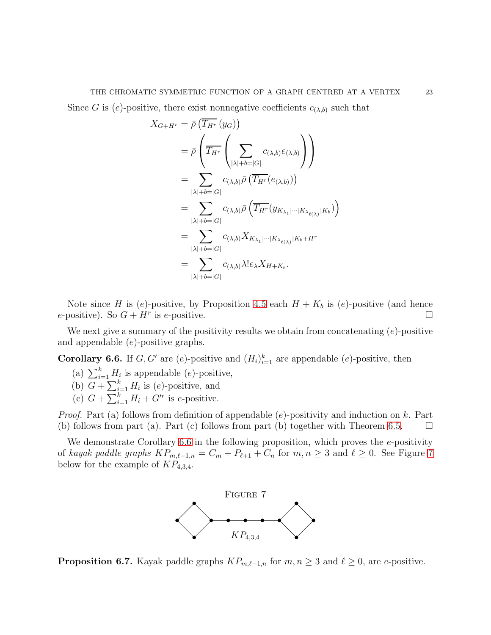Since G is (e)-positive, there exist nonnegative coefficients  $c_{(\lambda,b)}$  such that

$$
X_{G+H^r} = \bar{\rho} \left( \overline{T_{H^r}} (y_G) \right)
$$
  
\n
$$
= \bar{\rho} \left( \overline{T_{H^r}} \left( \sum_{|\lambda|+b=|G|} c_{(\lambda,b)} e_{(\lambda,b)} \right) \right)
$$
  
\n
$$
= \sum_{|\lambda|+b=|G|} c_{(\lambda,b)} \bar{\rho} \left( \overline{T_{H^r}} (e_{(\lambda,b)}) \right)
$$
  
\n
$$
= \sum_{|\lambda|+b=|G|} c_{(\lambda,b)} \bar{\rho} \left( \overline{T_{H^r}} (y_{K_{\lambda_1}|\cdots|K_{\lambda_{\ell(\lambda)}}|K_b} \right)
$$
  
\n
$$
= \sum_{|\lambda|+b=|G|} c_{(\lambda,b)} X_{K_{\lambda_1}|\cdots|K_{\lambda_{\ell(\lambda)}}|K_b + H^r}
$$
  
\n
$$
= \sum_{|\lambda|+b=|G|} c_{(\lambda,b)} \lambda! e_{\lambda} X_{H+K_b}.
$$

Note since H is (e)-positive, by Proposition [4.5](#page-12-1) each  $H + K_b$  is (e)-positive (and hence e-positive). So  $G + H^r$  is e-positive.

We next give a summary of the positivity results we obtain from concatenating  $(e)$ -positive and appendable (e)-positive graphs.

<span id="page-22-0"></span>**Corollary 6.6.** If G, G' are (e)-positive and  $(H_i)_{i=1}^k$  are appendable (e)-positive, then

- (a)  $\sum_{i=1}^{k} H_i$  is appendable (e)-positive,
- (b)  $G + \sum_{i=1}^{k} H_i$  is (e)-positive, and
- (c)  $G + \sum_{i=1}^{k} H_i + G^{\prime r}$  is e-positive.

*Proof.* Part (a) follows from definition of appendable  $(e)$ -positivity and induction on k. Part (b) follows from part (a). Part (c) follows from part (b) together with Theorem [6.5.](#page-21-0)  $\Box$ 

<span id="page-22-1"></span>We demonstrate Corollary [6.6](#page-22-0) in the following proposition, which proves the e-positivity of kayak paddle graphs  $KP_{m,\ell-1,n} = C_m + P_{\ell+1} + C_n$  for  $m, n \geq 3$  and  $\ell \geq 0$ . See Figure [7](#page-22-1) below for the example of  $KP_{4,3,4}$ .



**Proposition 6.7.** Kayak paddle graphs  $KP_{m,\ell-1,n}$  for  $m, n \geq 3$  and  $\ell \geq 0$ , are e-positive.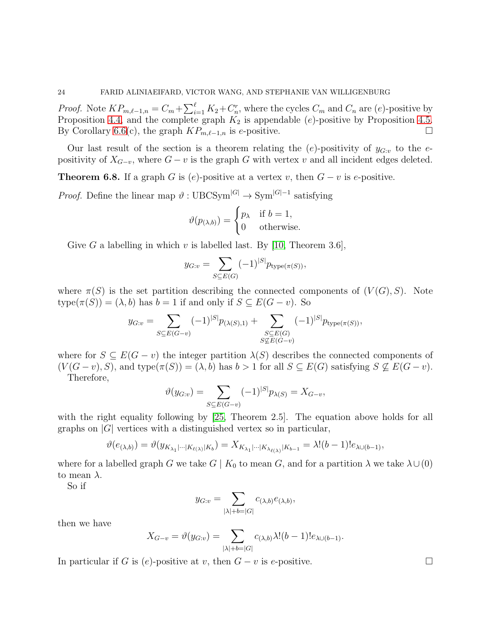*Proof.* Note  $KP_{m,\ell-1,n} = C_m + \sum_{i=1}^{\ell} K_2 + C_n^r$ , where the cycles  $C_m$  and  $C_n$  are  $(e)$ -positive by Proposition [4.4,](#page-12-5) and the complete graph  $K_2$  is appendable (e)-positive by Proposition [4.5.](#page-12-1) By Corollary [6.6\(](#page-22-0)c), the graph  $KP_{m,\ell-1,n}$  is e-positive.  $\square$ 

Our last result of the section is a theorem relating the  $(e)$ -positivity of  $y_{G:v}$  to the epositivity of  $X_{G-v}$ , where  $G - v$  is the graph G with vertex v and all incident edges deleted.

<span id="page-23-0"></span>**Theorem 6.8.** If a graph G is  $(e)$ -positive at a vertex v, then  $G - v$  is e-positive.

*Proof.* Define the linear map  $\vartheta$  : UBCSym<sup>[G|</sup>  $\rightarrow$  Sym<sup>[G|-1</sup> satisfying

$$
\vartheta(p_{(\lambda,b)}) = \begin{cases} p_{\lambda} & \text{if } b = 1, \\ 0 & \text{otherwise.} \end{cases}
$$

Give G a labelling in which v is labelled last. By [\[10,](#page-35-15) Theorem 3.6],

$$
y_{G:v} = \sum_{S \subseteq E(G)} (-1)^{|S|} p_{type(\pi(S))},
$$

where  $\pi(S)$  is the set partition describing the connected components of  $(V(G), S)$ . Note  $type(\pi(S)) = (\lambda, b)$  has  $b = 1$  if and only if  $S \subseteq E(G - v)$ . So

$$
y_{G:v} = \sum_{S \subseteq E(G-v)} (-1)^{|S|} p_{(\lambda(S),1)} + \sum_{\substack{S \subseteq E(G) \\ S \nsubseteq E(G-v)}} (-1)^{|S|} p_{\text{type}(\pi(S))},
$$

where for  $S \subseteq E(G - v)$  the integer partition  $\lambda(S)$  describes the connected components of  $(V(G - v), S)$ , and type $(\pi(S)) = (\lambda, b)$  has  $b > 1$  for all  $S \subseteq E(G)$  satisfying  $S \nsubseteq E(G - v)$ .

Therefore,

$$
\vartheta(y_{G:v}) = \sum_{S \subseteq E(G-v)} (-1)^{|S|} p_{\lambda(S)} = X_{G-v},
$$

with the right equality following by [\[25,](#page-36-0) Theorem 2.5]. The equation above holds for all graphs on  $|G|$  vertices with a distinguished vertex so in particular,

$$
\vartheta(e_{(\lambda,b)}) = \vartheta(y_{K_{\lambda_1}|\cdots|K_{\ell(\lambda)}|K_b}) = X_{K_{\lambda_1}|\cdots|K_{\lambda_{\ell(\lambda)}}|K_{b-1}} = \lambda!(b-1)!e_{\lambda\cup(b-1)},
$$

where for a labelled graph G we take  $G \mid K_0$  to mean G, and for a partition  $\lambda$  we take  $\lambda \cup (0)$ to mean  $\lambda$ .

So if

$$
y_{G:v} = \sum_{|\lambda|+b=|G|} c_{(\lambda,b)} e_{(\lambda,b)},
$$

then we have

$$
X_{G-v} = \vartheta(y_{G:v}) = \sum_{|\lambda|+b=|G|} c_{(\lambda,b)}\lambda!(b-1)!e_{\lambda\cup(b-1)}.
$$

In particular if G is  $(e)$ -positive at v, then  $G - v$  is e-positive.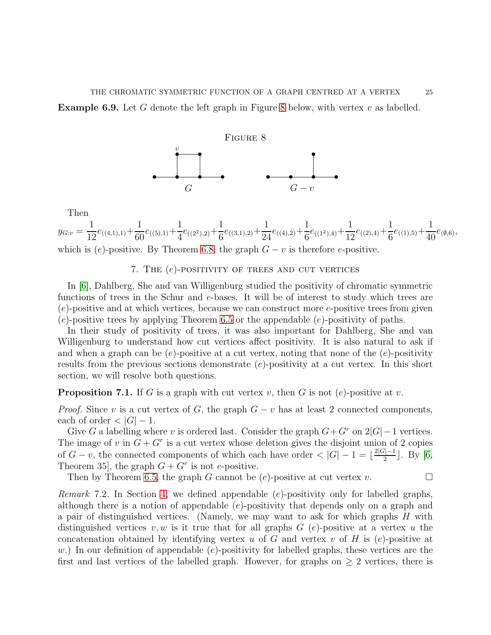<span id="page-24-1"></span>**Example 6.9.** Let G denote the left graph in Figure [8](#page-24-1) below, with vertex  $v$  as labelled.



Then

 $y_{G:v} =$ 1  $\frac{1}{12}e_{((4,1),1)}+$ 1  $\frac{1}{60}e_{((5),1)}+$ 1  $\frac{1}{4}e_{((2^2),2)}+$ 1  $\frac{1}{6}e_{((3,1),2)}+$ 1  $\frac{1}{24}e_{((4),2)}+$ 1  $\frac{1}{6}e_{((1^2),4)}+$ 1  $\frac{1}{12}e_{((2),4)}+$ 1  $\frac{1}{6}e_{((1),5)}+$ 1  $\frac{1}{40}e_{(\emptyset,6)},$ which is  $(e)$ -positive. By Theorem [6.8,](#page-23-0) the graph  $G - v$  is therefore e-positive.

## 7. THE  $(e)$ -POSITIVITY OF TREES AND CUT VERTICES

<span id="page-24-0"></span>In [\[6\]](#page-35-19), Dahlberg, She and van Willigenburg studied the positivity of chromatic symmetric functions of trees in the Schur and e-bases. It will be of interest to study which trees are  $(e)$ -positive and at which vertices, because we can construct more e-positive trees from given  $(e)$ -positive trees by applying Theorem [6.5](#page-21-0) or the appendable  $(e)$ -positivity of paths.

In their study of positivity of trees, it was also important for Dahlberg, She and van Willigenburg to understand how cut vertices affect positivity. It is also natural to ask if and when a graph can be  $(e)$ -positive at a cut vertex, noting that none of the  $(e)$ -positivity results from the previous sections demonstrate  $(e)$ -positivity at a cut vertex. In this short section, we will resolve both questions.

<span id="page-24-2"></span>**Proposition 7.1.** If G is a graph with cut vertex v, then G is not (e)-positive at v.

*Proof.* Since v is a cut vertex of G, the graph  $G - v$  has at least 2 connected components, each of order  $<|G|-1$ .

Give G a labelling where v is ordered last. Consider the graph  $G+G^r$  on  $2|G|-1$  vertices. The image of v in  $G + G^r$  is a cut vertex whose deletion gives the disjoint union of 2 copies of  $G - v$ , the connected components of which each have order  $\lt |G| - 1 = \lfloor \frac{2|G| - 1}{2} \rfloor$  $\frac{i-1}{2}$ . By [\[6,](#page-35-19) Theorem 35, the graph  $G + G<sup>r</sup>$  is not e-positive.

Then by Theorem [6.5,](#page-21-0) the graph G cannot be  $(e)$ -positive at cut vertex v.

*Remark* 7.2. In Section [4,](#page-10-0) we defined appendable  $(e)$ -positivity only for labelled graphs, although there is a notion of appendable (e)-positivity that depends only on a graph and a pair of distinguished vertices. (Namely, we may want to ask for which graphs H with distinguished vertices  $v, w$  is it true that for all graphs  $G(e)$ -positive at a vertex u the concatenation obtained by identifying vertex u of G and vertex v of H is  $(e)$ -positive at w.) In our definition of appendable  $(e)$ -positivity for labelled graphs, these vertices are the first and last vertices of the labelled graph. However, for graphs on  $\geq 2$  vertices, there is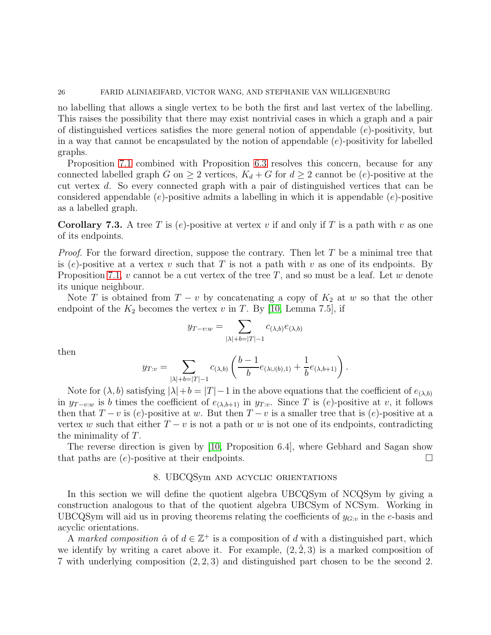no labelling that allows a single vertex to be both the first and last vertex of the labelling. This raises the possibility that there may exist nontrivial cases in which a graph and a pair of distinguished vertices satisfies the more general notion of appendable (e)-positivity, but in a way that cannot be encapsulated by the notion of appendable  $(e)$ -positivity for labelled graphs.

Proposition [7.1](#page-24-2) combined with Proposition [6.3](#page-20-0) resolves this concern, because for any connected labelled graph G on  $\geq 2$  vertices,  $K_d + G$  for  $d \geq 2$  cannot be  $(e)$ -positive at the cut vertex d. So every connected graph with a pair of distinguished vertices that can be considered appendable  $(e)$ -positive admits a labelling in which it is appendable  $(e)$ -positive as a labelled graph.

**Corollary 7.3.** A tree T is (e)-positive at vertex v if and only if T is a path with v as one of its endpoints.

*Proof.* For the forward direction, suppose the contrary. Then let T be a minimal tree that is (e)-positive at a vertex v such that  $T$  is not a path with  $v$  as one of its endpoints. By Proposition [7.1,](#page-24-2) v cannot be a cut vertex of the tree T, and so must be a leaf. Let w denote its unique neighbour.

Note T is obtained from  $T - v$  by concatenating a copy of  $K_2$  at w so that the other endpoint of the  $K_2$  becomes the vertex v in T. By [\[10,](#page-35-15) Lemma 7.5], if

$$
y_{T-v:w} = \sum_{|\lambda|+b=|T|-1} c_{(\lambda,b)} e_{(\lambda,b)}
$$

then

$$
y_{T:v}=\sum_{|\lambda|+b=|T|-1}c_{(\lambda,b)}\left(\frac{b-1}{b}e_{(\lambda\cup(b),1)}+\frac{1}{b}e_{(\lambda,b+1)}\right).
$$

Note for  $(\lambda, b)$  satisfying  $|\lambda| + b = |T| - 1$  in the above equations that the coefficient of  $e_{(\lambda, b)}$ in  $y_{T-v:w}$  is b times the coefficient of  $e_{(\lambda,b+1)}$  in  $y_{T:v}$ . Since T is (e)-positive at v, it follows then that  $T - v$  is (e)-positive at w. But then  $T - v$  is a smaller tree that is (e)-positive at a vertex w such that either  $T - v$  is not a path or w is not one of its endpoints, contradicting the minimality of T.

<span id="page-25-0"></span>The reverse direction is given by [\[10,](#page-35-15) Proposition 6.4], where Gebhard and Sagan show that paths are  $(e)$ -positive at their endpoints.

### 8. UBCQSym and acyclic orientations

In this section we will define the quotient algebra UBCQSym of NCQSym by giving a construction analogous to that of the quotient algebra UBCSym of NCSym. Working in UBCQSym will aid us in proving theorems relating the coefficients of  $y_{G:v}$  in the e-basis and acyclic orientations.

A marked composition  $\hat{\alpha}$  of  $d \in \mathbb{Z}^+$  is a composition of d with a distinguished part, which we identify by writing a caret above it. For example,  $(2, 2, 3)$  is a marked composition of 7 with underlying composition (2, 2, 3) and distinguished part chosen to be the second 2.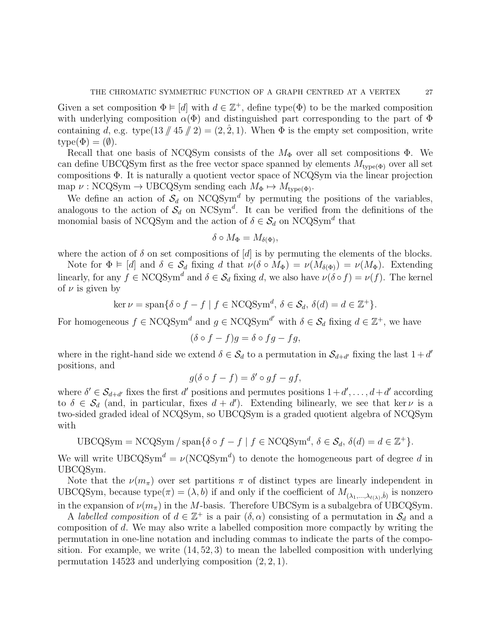Given a set composition  $\Phi \models [d]$  with  $d \in \mathbb{Z}^+$ , define type( $\Phi$ ) to be the marked composition with underlying composition  $\alpha(\Phi)$  and distinguished part corresponding to the part of  $\Phi$ containing d, e.g. type( $13 \nmid 45 \nmid 2$ ) =  $(2, 2, 1)$ . When  $\Phi$  is the empty set composition, write  $type(\Phi) = (\emptyset).$ 

Recall that one basis of NCQSym consists of the  $M_{\Phi}$  over all set compositions  $\Phi$ . We can define UBCQSym first as the free vector space spanned by elements  $M_{\text{type}(\Phi)}$  over all set compositions Φ. It is naturally a quotient vector space of NCQSym via the linear projection map  $\nu : NCQSym \rightarrow \text{UBCQSym}$  sending each  $M_{\Phi} \mapsto M_{\text{type}(\Phi)}$ .

We define an action of  $\mathcal{S}_d$  on NCQSym<sup>d</sup> by permuting the positions of the variables, analogous to the action of  $\mathcal{S}_d$  on NCSym<sup>d</sup>. It can be verified from the definitions of the monomial basis of NCQSym and the action of  $\delta \in \mathcal{S}_d$  on NCQSym<sup>d</sup> that

$$
\delta \circ M_{\Phi} = M_{\delta(\Phi)},
$$

where the action of  $\delta$  on set compositions of  $[d]$  is by permuting the elements of the blocks.

Note for  $\Phi \models [d]$  and  $\delta \in \mathcal{S}_d$  fixing d that  $\nu(\delta \circ M_{\Phi}) = \nu(M_{\delta(\Phi)}) = \nu(M_{\Phi})$ . Extending linearly, for any  $f \in NCQSym^d$  and  $\delta \in \mathcal{S}_d$  fixing d, we also have  $\nu(\delta \circ f) = \nu(f)$ . The kernel of  $\nu$  is given by

$$
\ker \nu = \operatorname{span} \{ \delta \circ f - f \mid f \in \mathrm{NCQSym}^d, \ \delta \in \mathcal{S}_d, \ \delta(d) = d \in \mathbb{Z}^+ \}.
$$

For homogeneous  $f \in NCQSym^d$  and  $g \in NCQSym^d'$  with  $\delta \in \mathcal{S}_d$  fixing  $d \in \mathbb{Z}^+$ , we have

$$
(\delta \circ f - f)g = \delta \circ fg - fg,
$$

where in the right-hand side we extend  $\delta \in \mathcal{S}_d$  to a permutation in  $\mathcal{S}_{d+d'}$  fixing the last  $1+d'$ positions, and

$$
g(\delta \circ f - f) = \delta' \circ gf - gf,
$$

where  $\delta' \in \mathcal{S}_{d+d'}$  fixes the first d' positions and permutes positions  $1+d', \ldots, d+d'$  according to  $\delta \in \mathcal{S}_d$  (and, in particular, fixes  $d + d'$ ). Extending bilinearly, we see that ker  $\nu$  is a two-sided graded ideal of NCQSym, so UBCQSym is a graded quotient algebra of NCQSym with

$$
UBCQSym = NCQSym / span{\delta \circ f - f | f \in NCQSym^d, \delta \in \mathcal{S}_d, \delta(d) = d \in \mathbb{Z}^+}.
$$

We will write  $UBCQSym^d = \nu(NCQSym^d)$  to denote the homogeneous part of degree d in UBCQSym.

Note that the  $\nu(m_\pi)$  over set partitions  $\pi$  of distinct types are linearly independent in UBCQSym, because  $type(\pi) = (\lambda, b)$  if and only if the coefficient of  $M_{(\lambda_1, ..., \lambda_{\ell(\lambda)}, \hat{b})}$  is nonzero in the expansion of  $\nu(m_\pi)$  in the M-basis. Therefore UBCSym is a subalgebra of UBCQSym.

A labelled composition of  $d \in \mathbb{Z}^+$  is a pair  $(\delta, \alpha)$  consisting of a permutation in  $\mathcal{S}_d$  and a composition of d. We may also write a labelled composition more compactly by writing the permutation in one-line notation and including commas to indicate the parts of the composition. For example, we write  $(14, 52, 3)$  to mean the labelled composition with underlying permutation 14523 and underlying composition (2, 2, 1).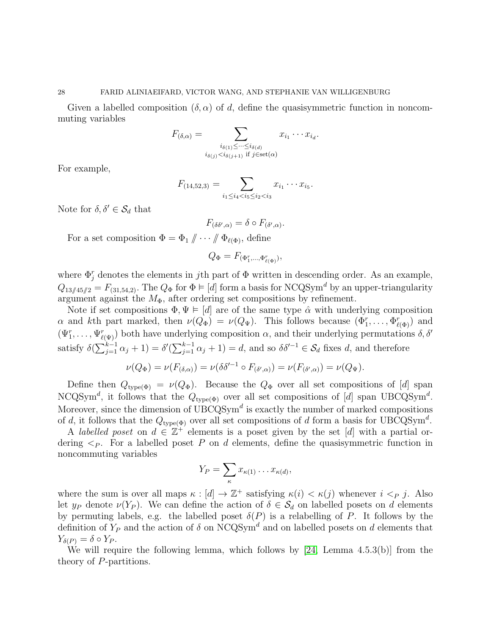Given a labelled composition  $(\delta, \alpha)$  of d, define the quasisymmetric function in noncommuting variables

$$
F_{(\delta,\alpha)} = \sum_{\substack{i_{\delta(1)} \le \cdots \le i_{\delta(d)} \\ i_{\delta(j)} < i_{\delta(j+1)} \text{ if } j \in \text{set}(\alpha)}} x_{i_1} \cdots x_{i_d}
$$

.

For example,

$$
F_{(14,52,3)} = \sum_{i_1 \leq i_4 < i_5 \leq i_2 < i_3} x_{i_1} \cdots x_{i_5}.
$$

Note for  $\delta, \delta' \in \mathcal{S}_d$  that

$$
F_{(\delta\delta',\alpha)} = \delta \circ F_{(\delta',\alpha)}.
$$

For a set composition  $\Phi = \Phi_1 \mathop{\parallel} \cdots \mathop{\parallel} \Phi_{\ell(\Phi)}$ , define

$$
Q_{\Phi} = F_{(\Phi_1^r, \ldots, \Phi_{\ell(\Phi)}^r)},
$$

where  $\Phi_j^r$  denotes the elements in jth part of  $\Phi$  written in descending order. As an example,  $Q_{13/45/2} = F_{(31,54,2)}$ . The  $Q_{\Phi}$  for  $\Phi \models [d]$  form a basis for NCQSym<sup>d</sup> by an upper-triangularity argument against the  $M_{\Phi}$ , after ordering set compositions by refinement.

Note if set compositions  $\Phi, \Psi \models [d]$  are of the same type  $\hat{\alpha}$  with underlying composition  $\alpha$  and kth part marked, then  $\nu(Q_{\Phi}) = \nu(Q_{\Psi})$ . This follows because  $(\Phi_1^r, \ldots, \Phi_{\ell(\Phi)}^r)$  and  $(\Psi_1^r, \ldots, \Psi_{\ell(\Psi)}^r)$  both have underlying composition  $\alpha$ , and their underlying permutations  $\delta, \delta'$ satisfy  $\delta(\sum_{j=1}^{k-1} \alpha_j + 1) = \delta'(\sum_{j=1}^{k-1} \alpha_j + 1) = d$ , and so  $\delta \delta'^{-1} \in \mathcal{S}_d$  fixes d, and therefore

$$
\nu(Q_{\Phi}) = \nu(F_{(\delta,\alpha)}) = \nu(\delta\delta'^{-1} \circ F_{(\delta',\alpha)}) = \nu(F_{(\delta',\alpha)}) = \nu(Q_{\Psi}).
$$

Define then  $Q_{\text{type}(\Phi)} = \nu(Q_{\Phi})$ . Because the  $Q_{\Phi}$  over all set compositions of [d] span NCQSym<sup>d</sup>, it follows that the  $Q_{\text{type}(\Phi)}$  over all set compositions of [d] span UBCQSym<sup>d</sup>. Moreover, since the dimension of  $UBCQSym^d$  is exactly the number of marked compositions of d, it follows that the  $Q_{\text{type}(\Phi)}$  over all set compositions of d form a basis for UBCQSym<sup>d</sup>.

A labelled poset on  $d \in \mathbb{Z}^+$  elements is a poset given by the set [d] with a partial ordering  $\leq_P$ . For a labelled poset P on d elements, define the quasisymmetric function in noncommuting variables

$$
Y_P = \sum_{\kappa} x_{\kappa(1)} \dots x_{\kappa(d)},
$$

where the sum is over all maps  $\kappa : [d] \to \mathbb{Z}^+$  satisfying  $\kappa(i) < \kappa(j)$  whenever  $i <_P j$ . Also let  $y_P$  denote  $\nu(Y_P)$ . We can define the action of  $\delta \in \mathcal{S}_d$  on labelled posets on d elements by permuting labels, e.g. the labelled poset  $\delta(P)$  is a relabelling of P. It follows by the definition of  $Y_P$  and the action of  $\delta$  on NCQSym<sup>d</sup> and on labelled posets on d elements that  $Y_{\delta(P)} = \delta \circ Y_P$ .

We will require the following lemma, which follows by [\[24,](#page-36-5) Lemma 4.5.3(b)] from the theory of P-partitions.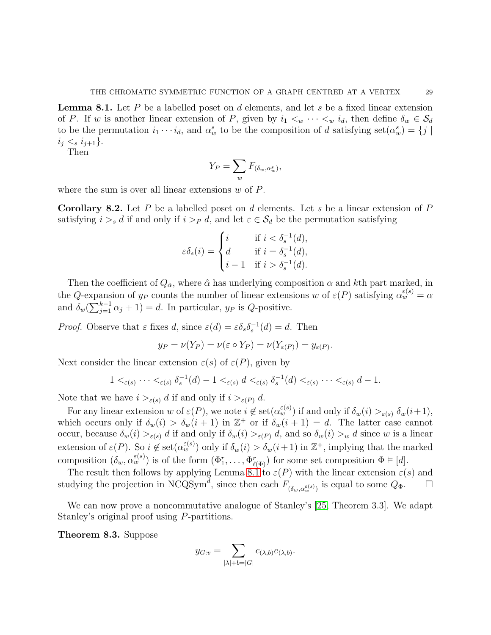<span id="page-28-1"></span>**Lemma 8.1.** Let P be a labelled poset on d elements, and let s be a fixed linear extension of P. If w is another linear extension of P, given by  $i_1 <_{w} \cdots <_{w} i_d$ , then define  $\delta_w \in \mathcal{S}_d$ to be the permutation  $i_1 \cdots i_d$ , and  $\alpha_w^s$  to be the composition of d satisfying set $(\alpha_w^s) = \{j \mid s \in \mathbb{N}\}$  $i_j <_s i_{j+1}$ .

Then

$$
Y_P = \sum_w F_{(\delta_w, \alpha_w^s)},
$$

where the sum is over all linear extensions  $w$  of  $P$ .

<span id="page-28-2"></span>**Corollary 8.2.** Let P be a labelled poset on d elements. Let s be a linear extension of P satisfying  $i > s$  d if and only if  $i > p$  d, and let  $\varepsilon \in S_d$  be the permutation satisfying

$$
\varepsilon \delta_s(i) = \begin{cases} i & \text{if } i < \delta_s^{-1}(d), \\ d & \text{if } i = \delta_s^{-1}(d), \\ i - 1 & \text{if } i > \delta_s^{-1}(d). \end{cases}
$$

Then the coefficient of  $Q_{\hat{\alpha}}$ , where  $\hat{\alpha}$  has underlying composition  $\alpha$  and  $k$ th part marked, in the Q-expansion of  $y_P$  counts the number of linear extensions w of  $\varepsilon(P)$  satisfying  $\alpha_w^{\varepsilon(s)} = \alpha$ and  $\delta_w(\sum_{j=1}^{k-1} \alpha_j + 1) = d$ . In particular,  $y_P$  is  $Q$ -positive.

*Proof.* Observe that  $\varepsilon$  fixes d, since  $\varepsilon(d) = \varepsilon \delta_s \delta_s^{-1}(d) = d$ . Then

$$
y_P = \nu(Y_P) = \nu(\varepsilon \circ Y_P) = \nu(Y_{\varepsilon(P)}) = y_{\varepsilon(P)}.
$$

Next consider the linear extension  $\varepsilon(s)$  of  $\varepsilon(P)$ , given by

$$
1 <_{\varepsilon(s)} \cdots <_{\varepsilon(s)} \delta_s^{-1}(d) - 1 <_{\varepsilon(s)} d <_{\varepsilon(s)} \delta_s^{-1}(d) <_{\varepsilon(s)} \cdots <_{\varepsilon(s)} d - 1.
$$

Note that we have  $i >_{\varepsilon(s)} d$  if and only if  $i >_{\varepsilon(P)} d$ .

For any linear extension w of  $\varepsilon(P)$ , we note  $i \notin \text{set}(\alpha_w^{\varepsilon(s)})$  if and only if  $\delta_w(i) >_{\varepsilon(s)} \delta_w(i+1)$ , which occurs only if  $\delta_w(i) > \delta_w(i+1)$  in  $\mathbb{Z}^+$  or if  $\delta_w(i+1) = d$ . The latter case cannot occur, because  $\delta_w(i) >_{\varepsilon(s)} d$  if and only if  $\delta_w(i) >_{\varepsilon(p)} d$ , and so  $\delta_w(i) >_w d$  since w is a linear extension of  $\varepsilon(P)$ . So  $i \notin \text{set}(\alpha_w^{\varepsilon(s)})$  only if  $\delta_w(i) > \delta_w(i+1)$  in  $\mathbb{Z}^+$ , implying that the marked composition  $(\delta_w, \alpha_w^{\varepsilon(s)})$  is of the form  $(\Phi_1^r, \ldots, \Phi_{\ell(\Phi)}^r)$  for some set composition  $\Phi \models [d]$ .

The result then follows by applying Lemma [8.1](#page-28-1) to  $\varepsilon(P)$  with the linear extension  $\varepsilon(s)$  and studying the projection in NCQSym<sup>d</sup>, since then each  $F_{(\delta_w, \alpha_w^{\varepsilon(s)})}$  is equal to some  $Q_{\Phi}$ .

We can now prove a noncommutative analogue of Stanley's [\[25,](#page-36-0) Theorem 3.3]. We adapt Stanley's original proof using P-partitions.

<span id="page-28-0"></span>Theorem 8.3. Suppose

$$
y_{G:v} = \sum_{|\lambda|+b=|G|} c_{(\lambda,b)} e_{(\lambda,b)}.
$$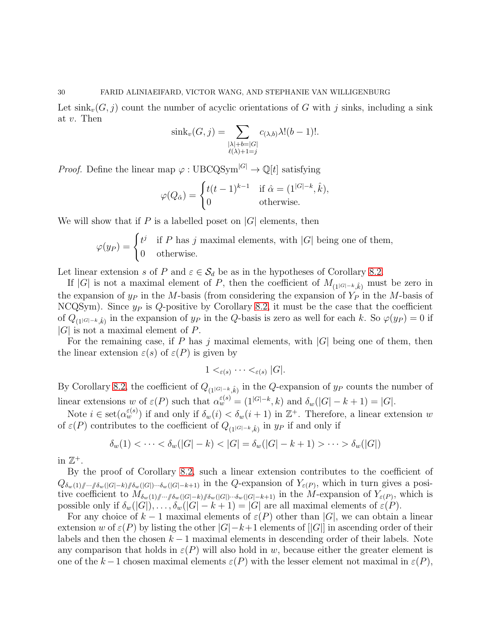Let  $\sinh_v(G, j)$  count the number of acyclic orientations of G with j sinks, including a sink at v. Then

$$
sinh_{v}(G, j) = \sum_{\substack{|\lambda|+b=|G|\\ \ell(\lambda)+1=j}} c_{(\lambda,b)}\lambda!(b-1)!.
$$

*Proof.* Define the linear map  $\varphi : \text{UBCQSym}^{|G|} \to \mathbb{Q}[t]$  satisfying

$$
\varphi(Q_{\hat{\alpha}}) = \begin{cases} t(t-1)^{k-1} & \text{if } \hat{\alpha} = (1^{|G|-k}, \hat{k}), \\ 0 & \text{otherwise.} \end{cases}
$$

We will show that if P is a labelled poset on  $|G|$  elements, then

$$
\varphi(y_P) = \begin{cases} t^j & \text{if } P \text{ has } j \text{ maximal elements, with } |G| \text{ being one of them,} \\ 0 & \text{otherwise.} \end{cases}
$$

Let linear extension s of P and  $\varepsilon \in \mathcal{S}_d$  be as in the hypotheses of Corollary [8.2.](#page-28-2)

If |G| is not a maximal element of P, then the coefficient of  $M_{(1|G|-\kappa,\hat{k})}$  must be zero in the expansion of  $y_P$  in the M-basis (from considering the expansion of  $Y_P$  in the M-basis of NCQSym). Since  $y_P$  is Q-positive by Corollary [8.2,](#page-28-2) it must be the case that the coefficient of  $Q_{(1^{|G|-k},\hat{k})}$  in the expansion of  $y_P$  in the Q-basis is zero as well for each k. So  $\varphi(y_P) = 0$  if  $|G|$  is not a maximal element of P.

For the remaining case, if P has j maximal elements, with  $|G|$  being one of them, then the linear extension  $\varepsilon(s)$  of  $\varepsilon(P)$  is given by

$$
1 <_{\varepsilon(s)} \cdots <_{\varepsilon(s)} |G|.
$$

By Corollary [8.2,](#page-28-2) the coefficient of  $Q_{(1^{|G|-k}, \hat{k})}$  in the Q-expansion of  $y_P$  counts the number of linear extensions w of  $\varepsilon(P)$  such that  $\alpha_w^{\varepsilon(s)} = (1^{|G|-k}, k)$  and  $\delta_w(|G|-k+1) = |G|$ .

Note  $i \in \text{set}(\alpha_w^{\varepsilon(s)})$  if and only if  $\delta_w(i) < \delta_w(i+1)$  in  $\mathbb{Z}^+$ . Therefore, a linear extension w of  $\varepsilon(P)$  contributes to the coefficient of  $Q_{(1^{|G|-k},\hat{k})}$  in  $y_P$  if and only if

$$
\delta_w(1) < \cdots < \delta_w(|G| - k) < |G| = \delta_w(|G| - k + 1) > \cdots > \delta_w(|G|)
$$

in  $\mathbb{Z}^+$ .

By the proof of Corollary [8.2,](#page-28-2) such a linear extension contributes to the coefficient of  $Q_{\delta_w(1)/\!\!/ \cdots /\!\!/ \delta_w(|G|-k)/\!\!/ \delta_w(|G|)\cdots \delta_w(|G|-k+1)}$  in the Q-expansion of  $Y_{\varepsilon(P)}$ , which in turn gives a positive coefficient to  $M_{\delta_w(1)/\,\cdots/\,\delta_w(|G|-k)/\,\delta_w(|G|)\cdots\delta_w(|G|-k+1)}$  in the M-expansion of  $Y_{\varepsilon(P)}$ , which is possible only if  $\delta_w(|G|), \ldots, \delta_w(|G|-k+1) = |G|$  are all maximal elements of  $\varepsilon(P)$ .

For any choice of  $k-1$  maximal elements of  $\varepsilon(P)$  other than  $|G|$ , we can obtain a linear extension w of  $\varepsilon(P)$  by listing the other  $|G| - k+1$  elements of  $||G||$  in ascending order of their labels and then the chosen  $k-1$  maximal elements in descending order of their labels. Note any comparison that holds in  $\varepsilon(P)$  will also hold in w, because either the greater element is one of the k – 1 chosen maximal elements  $\varepsilon(P)$  with the lesser element not maximal in  $\varepsilon(P)$ ,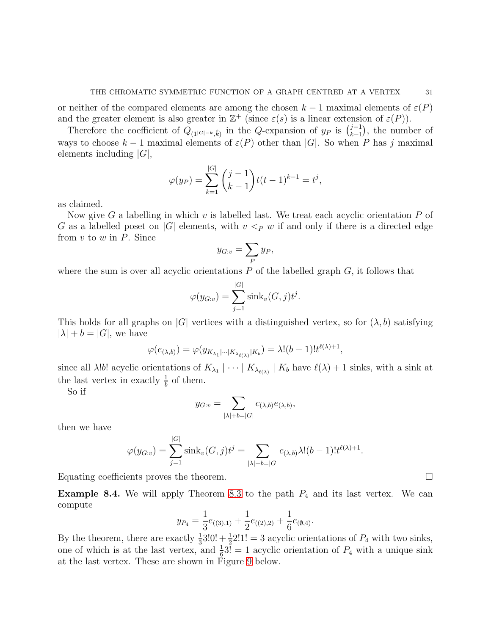or neither of the compared elements are among the chosen  $k-1$  maximal elements of  $\varepsilon(P)$ and the greater element is also greater in  $\mathbb{Z}^+$  (since  $\varepsilon(s)$  is a linear extension of  $\varepsilon(P)$ ).

Therefore the coefficient of  $Q_{(1^{|G|-k},\hat{k})}$  in the Q-expansion of  $y_P$  is  $\binom{j-1}{k-1}$  $_{k-1}^{j-1}$ , the number of ways to choose  $k-1$  maximal elements of  $\varepsilon(P)$  other than |G|. So when P has j maximal elements including  $|G|$ ,

$$
\varphi(y_P) = \sum_{k=1}^{|G|} {j-1 \choose k-1} t(t-1)^{k-1} = t^j,
$$

as claimed.

Now give G a labelling in which v is labelled last. We treat each acyclic orientation  $P$  of G as a labelled poset on |G| elements, with  $v <_P w$  if and only if there is a directed edge from  $v$  to  $w$  in  $P$ . Since

$$
y_{G:v} = \sum_P y_P,
$$

where the sum is over all acyclic orientations  $P$  of the labelled graph  $G$ , it follows that

$$
\varphi(y_{G:v}) = \sum_{j=1}^{|G|} \sin k_v(G,j) t^j.
$$

This holds for all graphs on |G| vertices with a distinguished vertex, so for  $(\lambda, b)$  satisfying  $|\lambda| + b = |G|$ , we have

$$
\varphi(e_{(\lambda,b)}) = \varphi(y_{K_{\lambda_1}|\cdots|K_{\lambda_{\ell(\lambda)}}|K_b}) = \lambda!(b-1)!t^{\ell(\lambda)+1},
$$

since all  $\lambda!b!$  acyclic orientations of  $K_{\lambda_1} \mid \cdots \mid K_{\lambda_{\ell(\lambda)}} \mid K_b$  have  $\ell(\lambda) + 1$  sinks, with a sink at the last vertex in exactly  $\frac{1}{b}$  of them.

So if

$$
y_{G:v} = \sum_{|\lambda|+b=|G|} c_{(\lambda,b)} e_{(\lambda,b)},
$$

then we have

$$
\varphi(y_{G:v}) = \sum_{j=1}^{|G|} \sin k_v(G,j)t^j = \sum_{|\lambda|+b=|G|} c_{(\lambda,b)}\lambda!(b-1)!t^{\ell(\lambda)+1}.
$$

Equating coefficients proves the theorem.

**Example 8.4.** We will apply Theorem [8.3](#page-28-0) to the path  $P_4$  and its last vertex. We can compute

$$
y_{P_4} = \frac{1}{3}e_{((3),1)} + \frac{1}{2}e_{((2),2)} + \frac{1}{6}e_{(\emptyset,4)}.
$$

By the theorem, there are exactly  $\frac{1}{3}$ 3!0!  $+\frac{1}{2}$ 2!1! = 3 acyclic orientations of  $P_4$  with two sinks, one of which is at the last vertex, and  $\frac{1}{6}$ 3! = 1 acyclic orientation of  $P_4$  with a unique sink at the last vertex. These are shown in Figure [9](#page-31-0) below.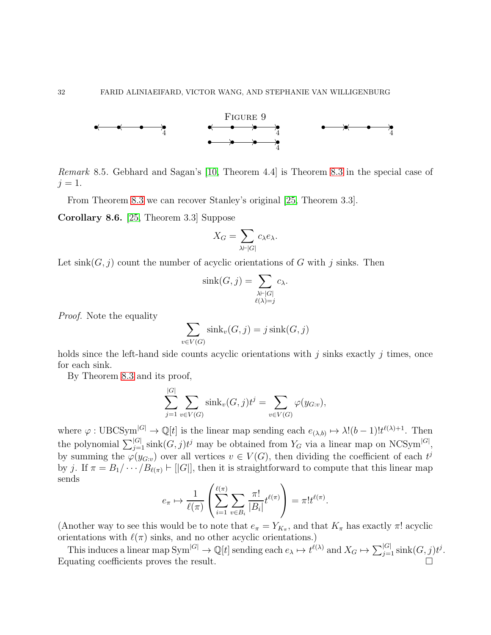<span id="page-31-0"></span>

Remark 8.5. Gebhard and Sagan's [\[10,](#page-35-15) Theorem 4.4] is Theorem [8.3](#page-28-0) in the special case of  $j=1$ .

From Theorem [8.3](#page-28-0) we can recover Stanley's original [\[25,](#page-36-0) Theorem 3.3].

<span id="page-31-1"></span>Corollary 8.6. [\[25,](#page-36-0) Theorem 3.3] Suppose

$$
X_G=\sum_{\lambda\vdash |G|}c_\lambda e_\lambda.
$$

Let  $\operatorname{sink}(G, j)$  count the number of acyclic orientations of G with j sinks. Then

$$
sink(G, j) = \sum_{\substack{\lambda \vdash |G| \\ \ell(\lambda) = j}} c_{\lambda}.
$$

Proof. Note the equality

$$
\sum_{v \in V(G)} \sinh_v(G, j) = j \sinh(G, j)
$$

holds since the left-hand side counts acyclic orientations with  $j$  sinks exactly  $j$  times, once for each sink.

By Theorem [8.3](#page-28-0) and its proof,

$$
\sum_{j=1}^{|G|} \sum_{v \in V(G)} \sin k_v(G, j) t^j = \sum_{v \in V(G)} \varphi(y_{G:v}),
$$

where  $\varphi: \text{UBCSym}^{|G|} \to \mathbb{Q}[t]$  is the linear map sending each  $e_{(\lambda,b)} \mapsto \lambda!(b-1)!t^{\ell(\lambda)+1}$ . Then the polynomial  $\sum_{j=1}^{|G|} \operatorname{sink}(G, j) t^j$  may be obtained from  $Y_G$  via a linear map on NCSym<sup>[G]</sup>, by summing the  $\varphi(y_{G:v})$  over all vertices  $v \in V(G)$ , then dividing the coefficient of each  $t^j$ by j. If  $\pi = B_1/\cdots/B_{\ell(\pi)}$   $\vdash$  [|G|], then it is straightforward to compute that this linear map sends

$$
e_{\pi} \mapsto \frac{1}{\ell(\pi)} \left( \sum_{i=1}^{\ell(\pi)} \sum_{v \in B_i} \frac{\pi!}{|B_i|} t^{\ell(\pi)} \right) = \pi! t^{\ell(\pi)}.
$$

(Another way to see this would be to note that  $e_{\pi} = Y_{K_{\pi}}$ , and that  $K_{\pi}$  has exactly  $\pi$ ! acyclic orientations with  $\ell(\pi)$  sinks, and no other acyclic orientations.)

This induces a linear map  $\text{Sym}^{|G|} \to \mathbb{Q}[t]$  sending each  $e_{\lambda} \mapsto t^{\ell(\lambda)}$  and  $X_G \mapsto \sum_{j=1}^{|G|} \text{sink}(G, j)t^j$ . Equating coefficients proves the result.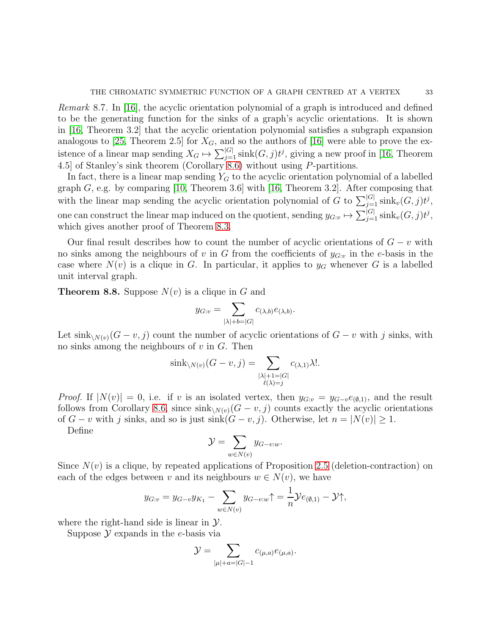Remark 8.7. In [\[16\]](#page-35-20), the acyclic orientation polynomial of a graph is introduced and defined to be the generating function for the sinks of a graph's acyclic orientations. It is shown in [\[16,](#page-35-20) Theorem 3.2] that the acyclic orientation polynomial satisfies a subgraph expansion analogous to [\[25,](#page-36-0) Theorem 2.5] for  $X_G$ , and so the authors of [\[16\]](#page-35-20) were able to prove the existence of a linear map sending  $X_G \mapsto \sum_{j=1}^{|G|} \text{sink}(G, j)t^j$ , giving a new proof in [\[16,](#page-35-20) Theorem 4.5] of Stanley's sink theorem (Corollary [8.6\)](#page-31-1) without using P-partitions.

In fact, there is a linear map sending  $Y_G$  to the acyclic orientation polynomial of a labelled graph  $G$ , e.g. by comparing [\[10,](#page-35-15) Theorem 3.6] with [\[16,](#page-35-20) Theorem 3.2]. After composing that with the linear map sending the acyclic orientation polynomial of G to  $\sum_{j=1}^{|G|} \sin k_v(G, j) t^j$ , one can construct the linear map induced on the quotient, sending  $y_{G:v} \mapsto \sum_{j=1}^{|G|} \sin k_v(G, j) t^j$ , which gives another proof of Theorem [8.3.](#page-28-0)

Our final result describes how to count the number of acyclic orientations of  $G - v$  with no sinks among the neighbours of v in G from the coefficients of  $y_{G:v}$  in the e-basis in the case where  $N(v)$  is a clique in G. In particular, it applies to  $y_G$  whenever G is a labelled unit interval graph.

<span id="page-32-0"></span>**Theorem 8.8.** Suppose  $N(v)$  is a clique in G and

$$
y_{G:v} = \sum_{|\lambda|+b=|G|} c_{(\lambda,b)} e_{(\lambda,b)}.
$$

Let  $\sin k_{\setminus N(v)}(G - v, j)$  count the number of acyclic orientations of  $G - v$  with j sinks, with no sinks among the neighbours of  $v$  in  $G$ . Then

$$
sink_{\setminus N(v)}(G-v,j) = \sum_{\substack{|\lambda|+1=|G|\\ \ell(\lambda)=j}} c_{(\lambda,1)}\lambda!.
$$

*Proof.* If  $|N(v)| = 0$ , i.e. if v is an isolated vertex, then  $y_{G:v} = y_{G-v}e_{(\emptyset,1)}$ , and the result follows from Corollary [8.6,](#page-31-1) since  $\sin k_{\setminus N(v)}(G - v, j)$  counts exactly the acyclic orientations of  $G - v$  with j sinks, and so is just sink $(G - v, j)$ . Otherwise, let  $n = |N(v)| \ge 1$ .

Define

$$
\mathcal{Y} = \sum_{w \in N(v)} y_{G-v:w}.
$$

Since  $N(v)$  is a clique, by repeated applications of Proposition [2.5](#page-6-0) (deletion-contraction) on each of the edges between v and its neighbours  $w \in N(v)$ , we have

$$
y_{G:v} = y_{G-v}y_{K_1} - \sum_{w \in N(v)} y_{G-v:w} \uparrow = \frac{1}{n} \mathcal{Y}e_{(\emptyset,1)} - \mathcal{Y} \uparrow,
$$

where the right-hand side is linear in  $\mathcal{Y}$ .

Suppose  $\mathcal Y$  expands in the e-basis via

$$
\mathcal{Y} = \sum_{|\mu|+a=|G|-1} c_{(\mu,a)} e_{(\mu,a)}.
$$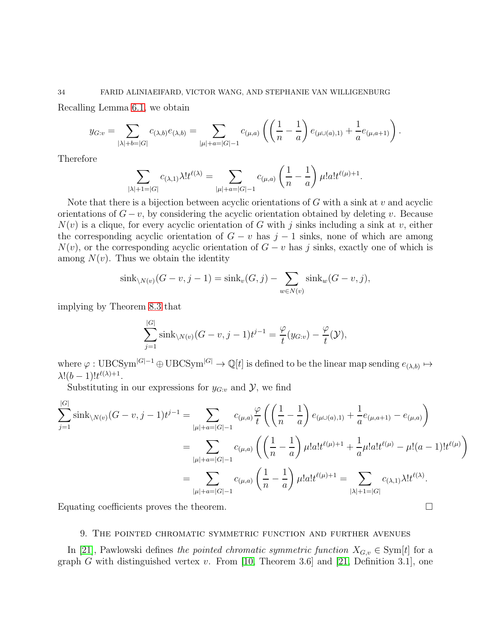Recalling Lemma [6.1,](#page-18-2) we obtain

$$
y_{G:v} = \sum_{|\lambda|+b=|G|} c_{(\lambda,b)} e_{(\lambda,b)} = \sum_{|\mu|+a=|G|-1} c_{(\mu,a)} \left( \left( \frac{1}{n} - \frac{1}{a} \right) e_{(\mu \cup (a),1)} + \frac{1}{a} e_{(\mu,a+1)} \right).
$$

Therefore

$$
\sum_{|\lambda|+1=|G|} c_{(\lambda,1)} \lambda! t^{\ell(\lambda)} = \sum_{|\mu|+a=|G|-1} c_{(\mu,a)} \left( \frac{1}{n} - \frac{1}{a} \right) \mu! a! t^{\ell(\mu)+1}.
$$

Note that there is a bijection between acyclic orientations of  $G$  with a sink at  $v$  and acyclic orientations of  $G - v$ , by considering the acyclic orientation obtained by deleting v. Because  $N(v)$  is a clique, for every acyclic orientation of G with j sinks including a sink at v, either the corresponding acyclic orientation of  $G - v$  has  $j - 1$  sinks, none of which are among  $N(v)$ , or the corresponding acyclic orientation of  $G - v$  has j sinks, exactly one of which is among  $N(v)$ . Thus we obtain the identity

$$
sink_{\setminus N(v)}(G-v, j-1) = sink_v(G, j) - \sum_{w \in N(v)} sink_w(G-v, j),
$$

implying by Theorem [8.3](#page-28-0) that

$$
\sum_{j=1}^{|G|} \sin k_{\setminus N(v)} (G - v, j - 1) t^{j-1} = \frac{\varphi}{t} (y_{G \cdot v}) - \frac{\varphi}{t} (\mathcal{Y}),
$$

where  $\varphi: \mathrm{UBCSym}^{|G|-1} \oplus \mathrm{UBCSym}^{|G|} \to \mathbb{Q}[t]$  is defined to be the linear map sending  $e_{(\lambda,b)} \mapsto$  $\lambda!(b-1)!t^{\ell(\lambda)+1}.$ 

Substituting in our expressions for  $y_{G:v}$  and  $\mathcal{Y}$ , we find

$$
\sum_{j=1}^{|G|} \sin k_{\backslash N(v)}(G-v,j-1)t^{j-1} = \sum_{|\mu|+a=|G|-1} c_{(\mu,a)} \frac{\varphi}{t} \left( \left( \frac{1}{n} - \frac{1}{a} \right) e_{(\mu \cup (a),1)} + \frac{1}{a} e_{(\mu,a+1)} - e_{(\mu,a)} \right)
$$
  

$$
= \sum_{|\mu|+a=|G|-1} c_{(\mu,a)} \left( \left( \frac{1}{n} - \frac{1}{a} \right) \mu! a! t^{\ell(\mu)+1} + \frac{1}{a} \mu! a! t^{\ell(\mu)} - \mu! (a-1)! t^{\ell(\mu)} \right)
$$
  

$$
= \sum_{|\mu|+a=|G|-1} c_{(\mu,a)} \left( \frac{1}{n} - \frac{1}{a} \right) \mu! a! t^{\ell(\mu)+1} = \sum_{|\lambda|+1=|G|} c_{(\lambda,1)} \lambda! t^{\ell(\lambda)}.
$$

<span id="page-33-0"></span>Equating coefficients proves the theorem.

#### 9. The pointed chromatic symmetric function and further avenues

In [\[21\]](#page-36-3), Pawlowski defines the pointed chromatic symmetric function  $X_{G,v} \in \text{Sym}[t]$  for a graph G with distinguished vertex  $v$ . From [\[10,](#page-35-15) Theorem 3.6] and [\[21,](#page-36-3) Definition 3.1], one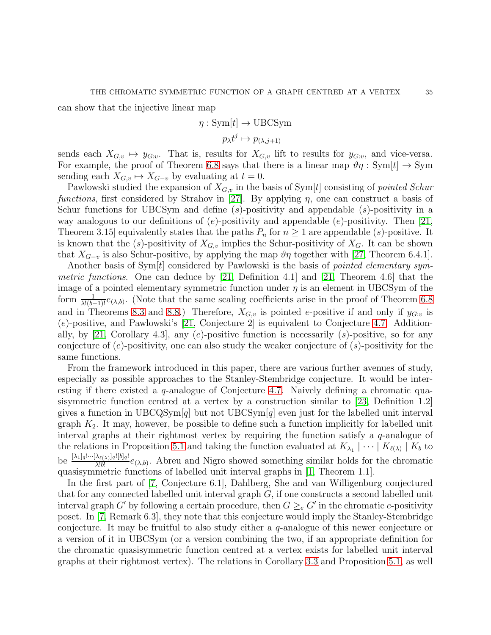can show that the injective linear map

$$
\eta: \text{Sym}[t] \to \text{UBCSym}
$$

$$
p_{\lambda}t^j \mapsto p_{(\lambda,j+1)}
$$

sends each  $X_{G,v} \mapsto y_{G:v}$ . That is, results for  $X_{G,v}$  lift to results for  $y_{G:v}$ , and vice-versa. For example, the proof of Theorem [6.8](#page-23-0) says that there is a linear map  $\vartheta\eta : \text{Sym}[t] \to \text{Sym}$ sending each  $X_{G,v} \mapsto X_{G-v}$  by evaluating at  $t = 0$ .

Pawlowski studied the expansion of  $X_{G,v}$  in the basis of Sym[t] consisting of *pointed Schur* functions, first considered by Strahov in [\[27\]](#page-36-6). By applying  $\eta$ , one can construct a basis of Schur functions for UBCSym and define  $(s)$ -positivity and appendable  $(s)$ -positivity in a way analogous to our definitions of  $(e)$ -positivity and appendable  $(e)$ -positivity. Then [\[21,](#page-36-3) Theorem 3.15] equivalently states that the paths  $P_n$  for  $n \geq 1$  are appendable (s)-positive. It is known that the (s)-positivity of  $X_{G,v}$  implies the Schur-positivity of  $X_G$ . It can be shown that  $X_{G-v}$  is also Schur-positive, by applying the map  $\vartheta\eta$  together with [\[27,](#page-36-6) Theorem 6.4.1].

Another basis of  $Sym[t]$  considered by Pawlowski is the basis of *pointed elementary symmetric functions.* One can deduce by [\[21,](#page-36-3) Definition 4.1] and [21, Theorem 4.6] that the image of a pointed elementary symmetric function under  $\eta$  is an element in UBCSym of the form  $\frac{1}{\lambda!(b-1)!}e_{(\lambda,b)}$ . (Note that the same scaling coefficients arise in the proof of Theorem [6.8](#page-23-0) and in Theorems [8.3](#page-28-0) and [8.8.](#page-32-0)) Therefore,  $X_{G,v}$  is pointed e-positive if and only if  $y_{G:v}$  is (e)-positive, and Pawlowski's [\[21,](#page-36-3) Conjecture 2] is equivalent to Conjecture [4.7.](#page-12-3) Addition-ally, by [\[21,](#page-36-3) Corollary 4.3], any  $(e)$ -positive function is necessarily  $(s)$ -positive, so for any conjecture of  $(e)$ -positivity, one can also study the weaker conjecture of  $(s)$ -positivity for the same functions.

From the framework introduced in this paper, there are various further avenues of study, especially as possible approaches to the Stanley-Stembridge conjecture. It would be interesting if there existed a  $q$ -analogue of Conjecture [4.7.](#page-12-3) Naively defining a chromatic quasisymmetric function centred at a vertex by a construction similar to [\[23,](#page-36-2) Definition 1.2] gives a function in  $UBCQSym[q]$  but not  $UBCSym[q]$  even just for the labelled unit interval graph  $K_2$ . It may, however, be possible to define such a function implicitly for labelled unit interval graphs at their rightmost vertex by requiring the function satisfy a q-analogue of the relations in Proposition [5.1](#page-13-1) and taking the function evaluated at  $K_{\lambda_1} \mid \cdots \mid K_{\ell(\lambda)} \mid K_b$  to be  $\frac{[\lambda_1]_q! \cdots [\lambda_{\ell(\lambda)}]_q! [b]_q!}{\lambda! b!}$  $\frac{\lambda(\ell(\lambda))q\cdot[\mathcal{O}]q\cdot[\mathcal{O}]q\cdot[\mathcal{O}]q\cdot[\mathcal{O}]q\cdot[\mathcal{O}]q\cdot[\mathcal{O}]q\cdot[\mathcal{O}]q\cdot[\mathcal{O}]q\cdot[\mathcal{O}]q\cdot[\mathcal{O}]q\cdot[\mathcal{O}]q\cdot[\mathcal{O}]q\cdot[\mathcal{O}]q\cdot[\mathcal{O}]q\cdot[\mathcal{O}]q\cdot[\mathcal{O}]q\cdot[\mathcal{O}]q\cdot[\mathcal{O}]q\cdot[\mathcal{O}]q\cdot[\mathcal{O}]q\cdot[\mathcal{O}]q\cdot[\mathcal{O}]q\cdot[\mathcal{O}]q\cdot[\$ quasisymmetric functions of labelled unit interval graphs in [\[1,](#page-35-11) Theorem 1.1].

In the first part of [\[7,](#page-35-21) Conjecture 6.1], Dahlberg, She and van Willigenburg conjectured that for any connected labelled unit interval graph  $G$ , if one constructs a second labelled unit interval graph G' by following a certain procedure, then  $G \geq_e G'$  in the chromatic e-positivity poset. In [\[7,](#page-35-21) Remark 6.3], they note that this conjecture would imply the Stanley-Stembridge conjecture. It may be fruitful to also study either a q-analogue of this newer conjecture or a version of it in UBCSym (or a version combining the two, if an appropriate definition for the chromatic quasisymmetric function centred at a vertex exists for labelled unit interval graphs at their rightmost vertex). The relations in Corollary [3.3](#page-8-0) and Proposition [5.1,](#page-13-1) as well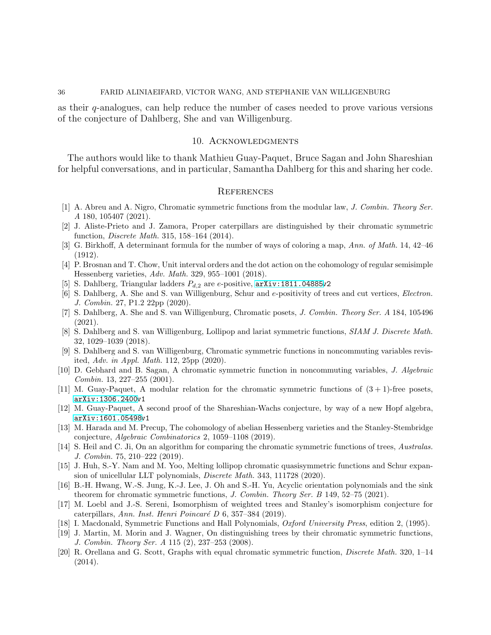<span id="page-35-0"></span>as their q-analogues, can help reduce the number of cases needed to prove various versions of the conjecture of Dahlberg, She and van Willigenburg.

## 10. Acknowledgments

The authors would like to thank Mathieu Guay-Paquet, Bruce Sagan and John Shareshian for helpful conversations, and in particular, Samantha Dahlberg for this and sharing her code.

#### <span id="page-35-1"></span>**REFERENCES**

- <span id="page-35-11"></span>[1] A. Abreu and A. Nigro, Chromatic symmetric functions from the modular law, J. Combin. Theory Ser. A 180, 105407 (2021).
- <span id="page-35-3"></span>[2] J. Aliste-Prieto and J. Zamora, Proper caterpillars are distinguished by their chromatic symmetric function, Discrete Math. 315, 158–164 (2014).
- <span id="page-35-2"></span>[3] G. Birkhoff, A determinant formula for the number of ways of coloring a map, Ann. of Math. 14, 42–46 (1912).
- <span id="page-35-8"></span>[4] P. Brosnan and T. Chow, Unit interval orders and the dot action on the cohomology of regular semisimple Hessenberg varieties, Adv. Math. 329, 955–1001 (2018).
- <span id="page-35-19"></span><span id="page-35-16"></span>[5] S. Dahlberg, Triangular ladders  $P_{d,2}$  are e-positive,  $arXiv:1811.04885v2$  $arXiv:1811.04885v2$
- [6] S. Dahlberg, A. She and S. van Willigenburg, Schur and e-positivity of trees and cut vertices, Electron. J. Combin. 27, P1.2 22pp (2020).
- <span id="page-35-21"></span>[7] S. Dahlberg, A. She and S. van Willigenburg, Chromatic posets, J. Combin. Theory Ser. A 184, 105496 (2021).
- <span id="page-35-12"></span>[8] S. Dahlberg and S. van Willigenburg, Lollipop and lariat symmetric functions, SIAM J. Discrete Math. 32, 1029–1039 (2018).
- <span id="page-35-17"></span>[9] S. Dahlberg and S. van Willigenburg, Chromatic symmetric functions in noncommuting variables revisited, Adv. in Appl. Math. 112, 25pp (2020).
- <span id="page-35-15"></span>[10] D. Gebhard and B. Sagan, A chromatic symmetric function in noncommuting variables, J. Algebraic Combin. 13, 227–255 (2001).
- <span id="page-35-9"></span><span id="page-35-7"></span>[11] M. Guay-Paquet, A modular relation for the chromatic symmetric functions of  $(3 + 1)$ -free posets, [arXiv:1306.2400v](http://arxiv.org/abs/1306.2400)1
- <span id="page-35-10"></span>[12] M. Guay-Paquet, A second proof of the Shareshian-Wachs conjecture, by way of a new Hopf algebra, [arXiv:1601.05498v](http://arxiv.org/abs/1601.05498)1
- [13] M. Harada and M. Precup, The cohomology of abelian Hessenberg varieties and the Stanley-Stembridge conjecture, Algebraic Combinatorics 2, 1059–1108 (2019).
- <span id="page-35-4"></span>[14] S. Heil and C. Ji, On an algorithm for comparing the chromatic symmetric functions of trees, Australas. J. Combin. 75, 210–222 (2019).
- <span id="page-35-13"></span>[15] J. Huh, S.-Y. Nam and M. Yoo, Melting lollipop chromatic quasisymmetric functions and Schur expansion of unicellular LLT polynomials, Discrete Math. 343, 111728 (2020).
- <span id="page-35-20"></span>[16] B.-H. Hwang, W.-S. Jung, K.-J. Lee, J. Oh and S.-H. Yu, Acyclic orientation polynomials and the sink theorem for chromatic symmetric functions, J. Combin. Theory Ser. B 149, 52–75 (2021).
- <span id="page-35-5"></span>[17] M. Loebl and J.-S. Sereni, Isomorphism of weighted trees and Stanley's isomorphism conjecture for caterpillars, Ann. Inst. Henri Poincaré D 6, 357–384 (2019).
- <span id="page-35-18"></span><span id="page-35-6"></span>[18] I. Macdonald, Symmetric Functions and Hall Polynomials, Oxford University Press, edition 2, (1995).
- [19] J. Martin, M. Morin and J. Wagner, On distinguishing trees by their chromatic symmetric functions, J. Combin. Theory Ser. A 115 (2), 237–253 (2008).
- <span id="page-35-14"></span>[20] R. Orellana and G. Scott, Graphs with equal chromatic symmetric function, Discrete Math. 320, 1–14 (2014).